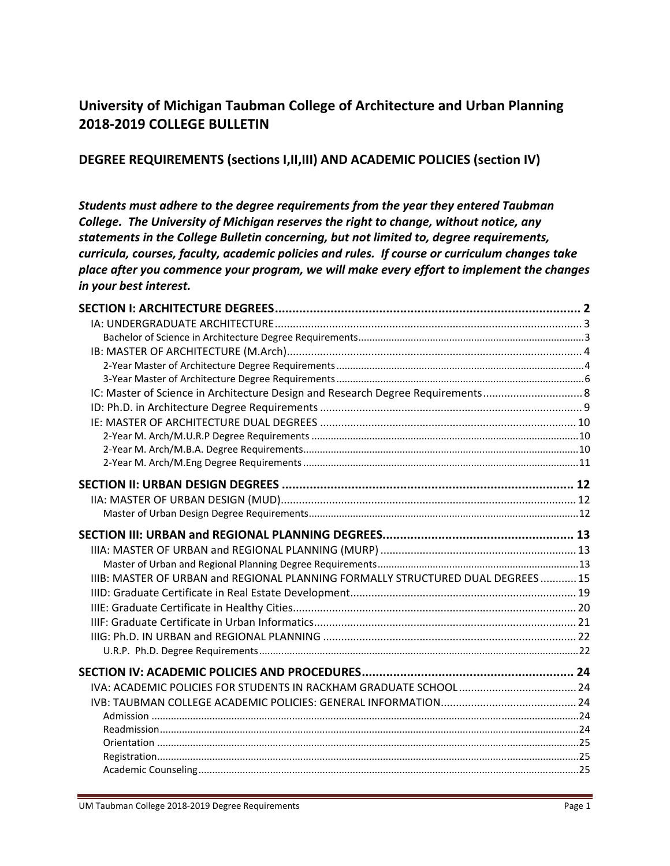# **University of Michigan Taubman College of Architecture and Urban Planning 2018‐2019 COLLEGE BULLETIN**

# **DEGREE REQUIREMENTS (sections I,II,III) AND ACADEMIC POLICIES (section IV)**

*Students must adhere to the degree requirements from the year they entered Taubman College. The University of Michigan reserves the right to change, without notice, any statements in the College Bulletin concerning, but not limited to, degree requirements, curricula, courses, faculty, academic policies and rules. If course or curriculum changes take place after you commence your program, we will make every effort to implement the changes in your best interest.*

| IC: Master of Science in Architecture Design and Research Degree Requirements   |  |
|---------------------------------------------------------------------------------|--|
|                                                                                 |  |
|                                                                                 |  |
|                                                                                 |  |
|                                                                                 |  |
|                                                                                 |  |
|                                                                                 |  |
|                                                                                 |  |
|                                                                                 |  |
|                                                                                 |  |
|                                                                                 |  |
|                                                                                 |  |
| IIIB: MASTER OF URBAN and REGIONAL PLANNING FORMALLY STRUCTURED DUAL DEGREES 15 |  |
|                                                                                 |  |
|                                                                                 |  |
|                                                                                 |  |
|                                                                                 |  |
|                                                                                 |  |
|                                                                                 |  |
|                                                                                 |  |
|                                                                                 |  |
|                                                                                 |  |
|                                                                                 |  |
|                                                                                 |  |
|                                                                                 |  |
|                                                                                 |  |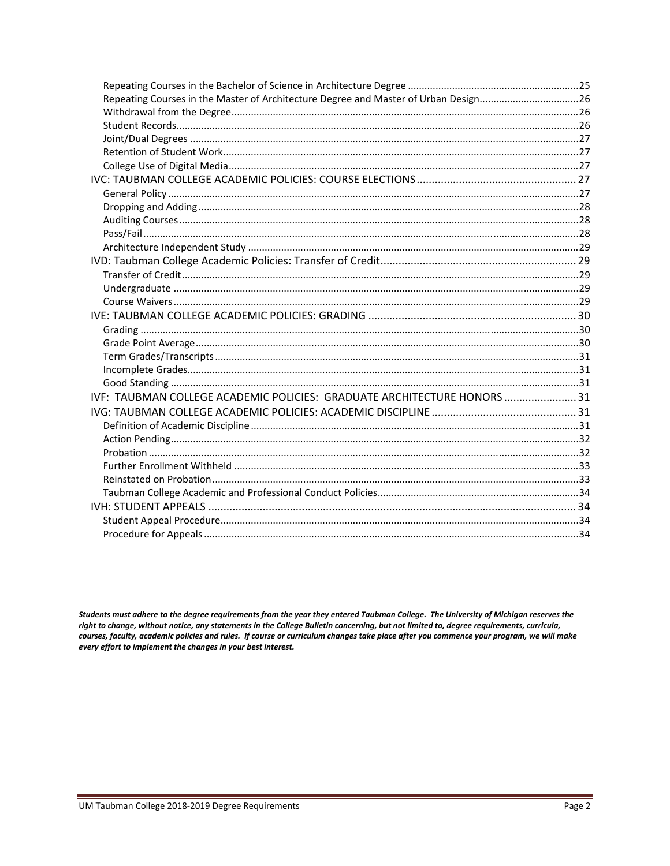| Repeating Courses in the Master of Architecture Degree and Master of Urban Design26 |  |
|-------------------------------------------------------------------------------------|--|
|                                                                                     |  |
|                                                                                     |  |
|                                                                                     |  |
|                                                                                     |  |
|                                                                                     |  |
|                                                                                     |  |
|                                                                                     |  |
|                                                                                     |  |
|                                                                                     |  |
|                                                                                     |  |
|                                                                                     |  |
|                                                                                     |  |
|                                                                                     |  |
|                                                                                     |  |
|                                                                                     |  |
|                                                                                     |  |
|                                                                                     |  |
|                                                                                     |  |
|                                                                                     |  |
|                                                                                     |  |
|                                                                                     |  |
| IVF: TAUBMAN COLLEGE ACADEMIC POLICIES: GRADUATE ARCHITECTURE HONORS  31            |  |
|                                                                                     |  |
|                                                                                     |  |
|                                                                                     |  |
|                                                                                     |  |
|                                                                                     |  |
|                                                                                     |  |
|                                                                                     |  |
|                                                                                     |  |
|                                                                                     |  |
|                                                                                     |  |

Students must adhere to the degree requirements from the year they entered Taubman College. The University of Michigan reserves the right to change, without notice, any statements in the College Bulletin concerning, but not limited to, degree requirements, curricula, courses, faculty, academic policies and rules. If course or curriculum changes take place after you commence your program, we will make every effort to implement the changes in your best interest.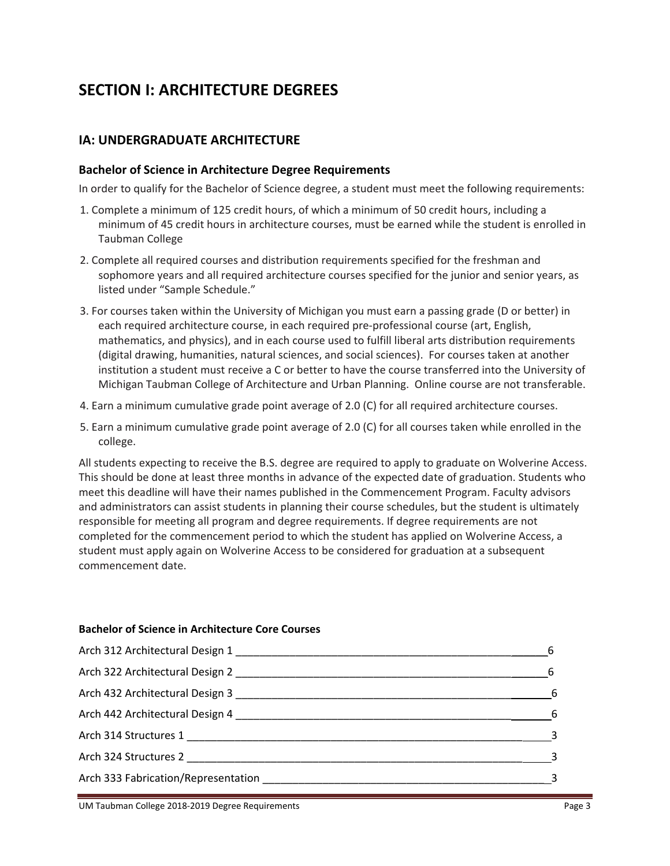# **SECTION I: ARCHITECTURE DEGREES**

# **IA: UNDERGRADUATE ARCHITECTURE**

#### **Bachelor of Science in Architecture Degree Requirements**

In order to qualify for the Bachelor of Science degree, a student must meet the following requirements:

- 1. Complete a minimum of 125 credit hours, of which a minimum of 50 credit hours, including a minimum of 45 credit hours in architecture courses, must be earned while the student is enrolled in Taubman College
- 2. Complete all required courses and distribution requirements specified for the freshman and sophomore years and all required architecture courses specified for the junior and senior years, as listed under "Sample Schedule."
- 3. For courses taken within the University of Michigan you must earn a passing grade (D or better) in each required architecture course, in each required pre‐professional course (art, English, mathematics, and physics), and in each course used to fulfill liberal arts distribution requirements (digital drawing, humanities, natural sciences, and social sciences). For courses taken at another institution a student must receive a C or better to have the course transferred into the University of Michigan Taubman College of Architecture and Urban Planning. Online course are not transferable.
- 4. Earn a minimum cumulative grade point average of 2.0 (C) for all required architecture courses.
- 5. Earn a minimum cumulative grade point average of 2.0 (C) for all courses taken while enrolled in the college.

All students expecting to receive the B.S. degree are required to apply to graduate on Wolverine Access. This should be done at least three months in advance of the expected date of graduation. Students who meet this deadline will have their names published in the Commencement Program. Faculty advisors and administrators can assist students in planning their course schedules, but the student is ultimately responsible for meeting all program and degree requirements. If degree requirements are not completed for the commencement period to which the student has applied on Wolverine Access, a student must apply again on Wolverine Access to be considered for graduation at a subsequent commencement date.

#### **Bachelor of Science in Architecture Core Courses**

|                                     | - 6 |
|-------------------------------------|-----|
| Arch 322 Architectural Design 2     |     |
|                                     |     |
| $\sim$ 6                            |     |
|                                     |     |
|                                     |     |
| Arch 333 Fabrication/Representation |     |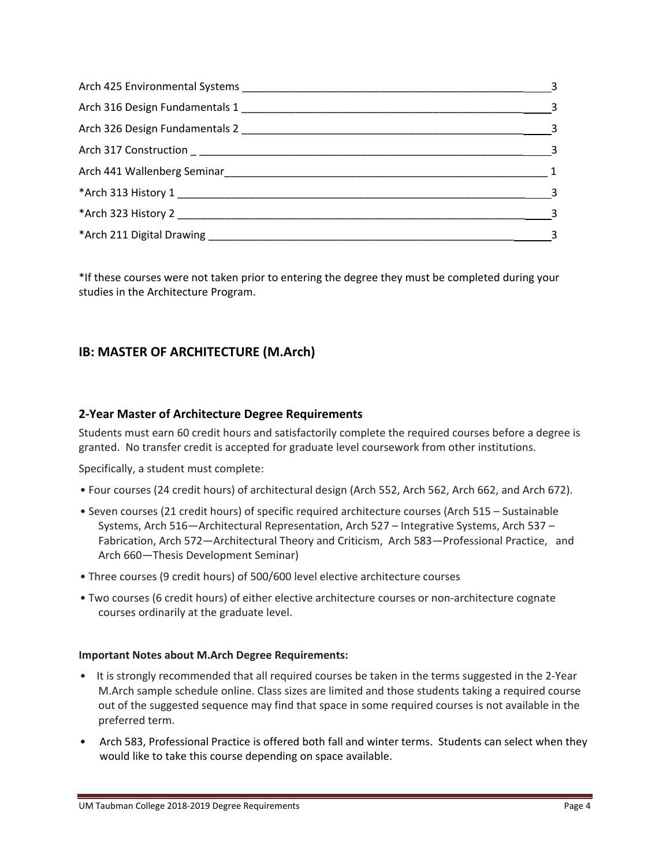| $\overline{\phantom{a}}$ 3 |
|----------------------------|
| $\overline{\phantom{a}}$ 3 |
| $\sim$ 3                   |
| $\sim$ 3                   |
| $\sim$ 1                   |
| $\overline{\phantom{a}}$ 3 |
| $\overline{\phantom{a}}$ 3 |
| $\overline{\mathbf{3}}$    |

\*If these courses were not taken prior to entering the degree they must be completed during your studies in the Architecture Program.

# **IB: MASTER OF ARCHITECTURE (M.Arch)**

# **2‐Year Master of Architecture Degree Requirements**

Students must earn 60 credit hours and satisfactorily complete the required courses before a degree is granted. No transfer credit is accepted for graduate level coursework from other institutions.

Specifically, a student must complete:

- Four courses (24 credit hours) of architectural design (Arch 552, Arch 562, Arch 662, and Arch 672).
- Seven courses (21 credit hours) of specific required architecture courses (Arch 515 Sustainable Systems, Arch 516—Architectural Representation, Arch 527 – Integrative Systems, Arch 537 – Fabrication, Arch 572—Architectural Theory and Criticism, Arch 583—Professional Practice, and Arch 660—Thesis Development Seminar)
- Three courses (9 credit hours) of 500/600 level elective architecture courses
- Two courses (6 credit hours) of either elective architecture courses or non‐architecture cognate courses ordinarily at the graduate level.

#### **Important Notes about M.Arch Degree Requirements:**

- It is strongly recommended that all required courses be taken in the terms suggested in the 2-Year M.Arch sample schedule online. Class sizes are limited and those students taking a required course out of the suggested sequence may find that space in some required courses is not available in the preferred term.
- Arch 583, Professional Practice is offered both fall and winter terms. Students can select when they would like to take this course depending on space available.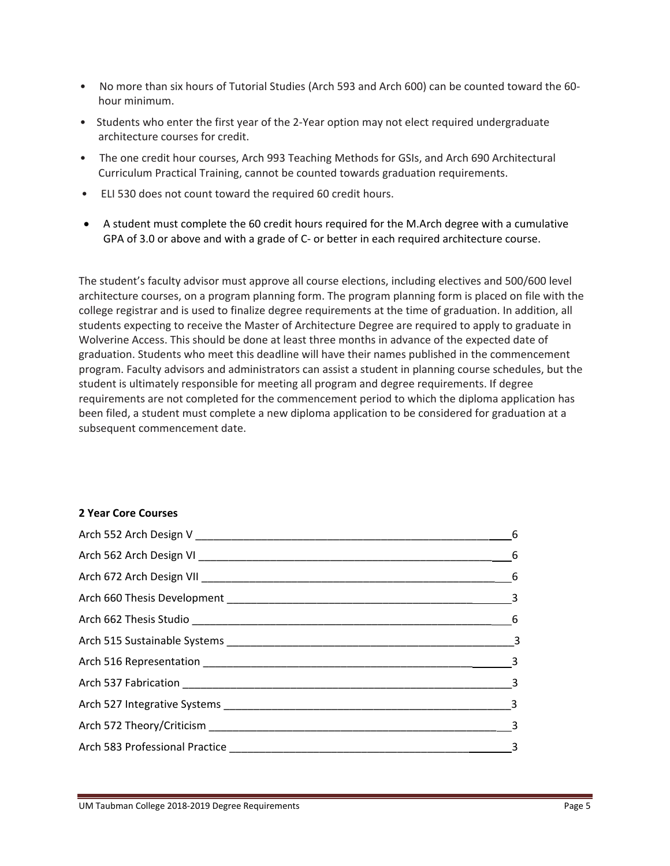- No more than six hours of Tutorial Studies (Arch 593 and Arch 600) can be counted toward the 60hour minimum.
- Students who enter the first year of the 2-Year option may not elect required undergraduate architecture courses for credit.
- The one credit hour courses, Arch 993 Teaching Methods for GSIs, and Arch 690 Architectural Curriculum Practical Training, cannot be counted towards graduation requirements.
- ELI 530 does not count toward the required 60 credit hours.
- A student must complete the 60 credit hours required for the M.Arch degree with a cumulative GPA of 3.0 or above and with a grade of C- or better in each required architecture course.

The student's faculty advisor must approve all course elections, including electives and 500/600 level architecture courses, on a program planning form. The program planning form is placed on file with the college registrar and is used to finalize degree requirements at the time of graduation. In addition, all students expecting to receive the Master of Architecture Degree are required to apply to graduate in Wolverine Access. This should be done at least three months in advance of the expected date of graduation. Students who meet this deadline will have their names published in the commencement program. Faculty advisors and administrators can assist a student in planning course schedules, but the student is ultimately responsible for meeting all program and degree requirements. If degree requirements are not completed for the commencement period to which the diploma application has been filed, a student must complete a new diploma application to be considered for graduation at a subsequent commencement date.

#### **2 Year Core Courses**

| $\sim$ 6 |
|----------|
|          |
|          |
|          |
|          |
|          |
|          |
|          |
|          |
|          |
|          |
|          |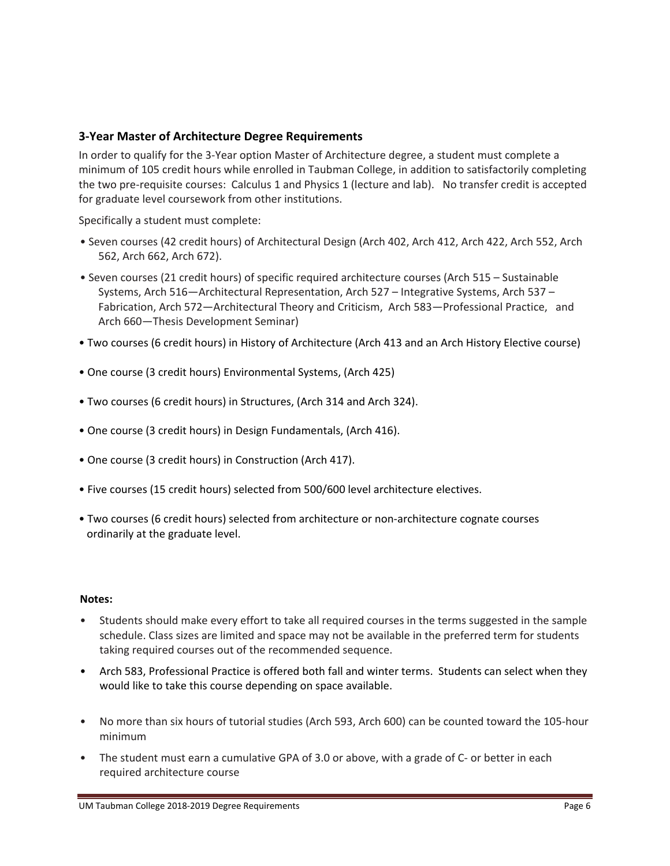### **3‐Year Master of Architecture Degree Requirements**

In order to qualify for the 3‐Year option Master of Architecture degree, a student must complete a minimum of 105 credit hours while enrolled in Taubman College, in addition to satisfactorily completing the two pre‐requisite courses: Calculus 1 and Physics 1 (lecture and lab). No transfer credit is accepted for graduate level coursework from other institutions.

Specifically a student must complete:

- Seven courses (42 credit hours) of Architectural Design (Arch 402, Arch 412, Arch 422, Arch 552, Arch 562, Arch 662, Arch 672).
- Seven courses (21 credit hours) of specific required architecture courses (Arch 515 Sustainable Systems, Arch 516—Architectural Representation, Arch 527 – Integrative Systems, Arch 537 – Fabrication, Arch 572—Architectural Theory and Criticism, Arch 583—Professional Practice, and Arch 660—Thesis Development Seminar)
- Two courses (6 credit hours) in History of Architecture (Arch 413 and an Arch History Elective course)
- One course (3 credit hours) Environmental Systems, (Arch 425)
- Two courses (6 credit hours) in Structures, (Arch 314 and Arch 324).
- One course (3 credit hours) in Design Fundamentals, (Arch 416).
- One course (3 credit hours) in Construction (Arch 417).
- Five courses (15 credit hours) selected from 500/600 level architecture electives.
- Two courses (6 credit hours) selected from architecture or non‐architecture cognate courses ordinarily at the graduate level.

#### **Notes:**

- Students should make every effort to take all required courses in the terms suggested in the sample schedule. Class sizes are limited and space may not be available in the preferred term for students taking required courses out of the recommended sequence.
- Arch 583, Professional Practice is offered both fall and winter terms. Students can select when they would like to take this course depending on space available.
- No more than six hours of tutorial studies (Arch 593, Arch 600) can be counted toward the 105‐hour minimum
- The student must earn a cumulative GPA of 3.0 or above, with a grade of C- or better in each required architecture course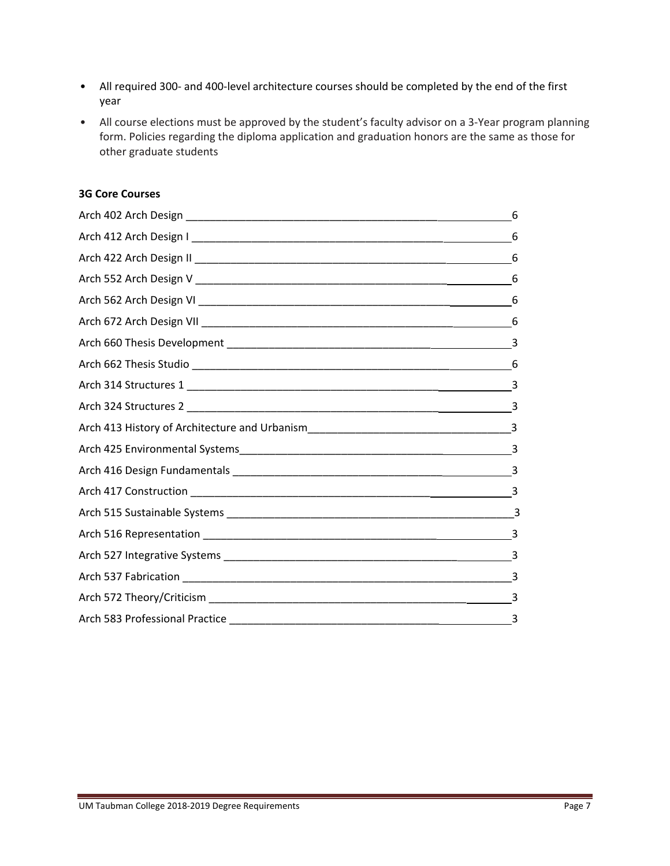- All required 300‐ and 400‐level architecture courses should be completed by the end of the first year
- All course elections must be approved by the student's faculty advisor on a 3-Year program planning form. Policies regarding the diploma application and graduation honors are the same as those for other graduate students

#### **3G Core Courses**

| 6 |
|---|
| 6 |
| 6 |
|   |
| 6 |
|   |
|   |
| 6 |
| 3 |
|   |
|   |
|   |
|   |
|   |
|   |
|   |
|   |
|   |
|   |
| 3 |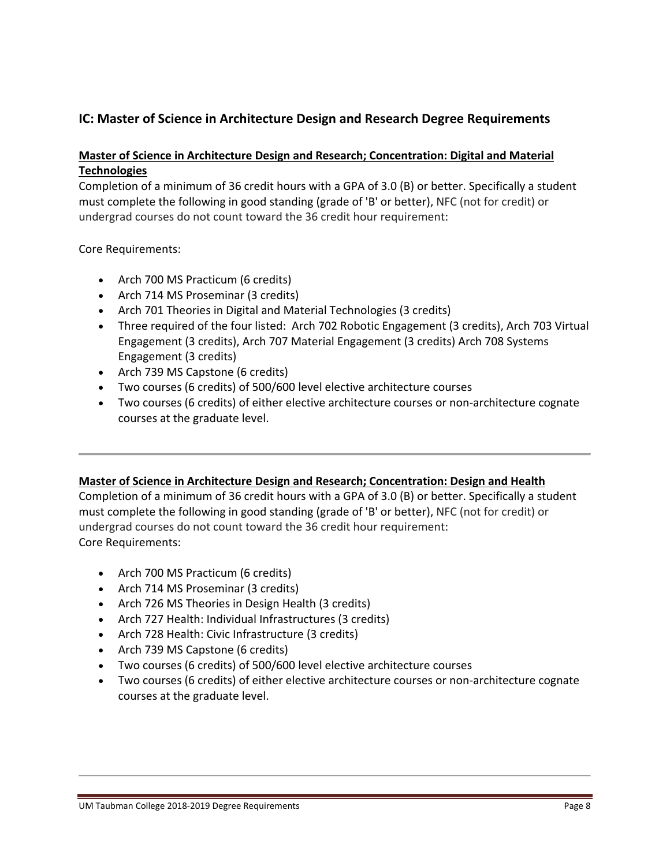# **IC: Master of Science in Architecture Design and Research Degree Requirements**

# **Master of Science in Architecture Design and Research; Concentration: Digital and Material Technologies**

Completion of a minimum of 36 credit hours with a GPA of 3.0 (B) or better. Specifically a student must complete the following in good standing (grade of 'B' or better), NFC (not for credit) or undergrad courses do not count toward the 36 credit hour requirement:

Core Requirements:

- Arch 700 MS Practicum (6 credits)
- Arch 714 MS Proseminar (3 credits)
- Arch 701 Theories in Digital and Material Technologies (3 credits)
- Three required of the four listed: Arch 702 Robotic Engagement (3 credits), Arch 703 Virtual Engagement (3 credits), Arch 707 Material Engagement (3 credits) Arch 708 Systems Engagement (3 credits)
- Arch 739 MS Capstone (6 credits)
- Two courses (6 credits) of 500/600 level elective architecture courses
- Two courses (6 credits) of either elective architecture courses or non‐architecture cognate courses at the graduate level.

# **Master of Science in Architecture Design and Research; Concentration: Design and Health**

Completion of a minimum of 36 credit hours with a GPA of 3.0 (B) or better. Specifically a student must complete the following in good standing (grade of 'B' or better), NFC (not for credit) or undergrad courses do not count toward the 36 credit hour requirement: Core Requirements:

- Arch 700 MS Practicum (6 credits)
- Arch 714 MS Proseminar (3 credits)
- Arch 726 MS Theories in Design Health (3 credits)
- Arch 727 Health: Individual Infrastructures (3 credits)
- Arch 728 Health: Civic Infrastructure (3 credits)
- Arch 739 MS Capstone (6 credits)
- Two courses (6 credits) of 500/600 level elective architecture courses
- Two courses (6 credits) of either elective architecture courses or non-architecture cognate courses at the graduate level.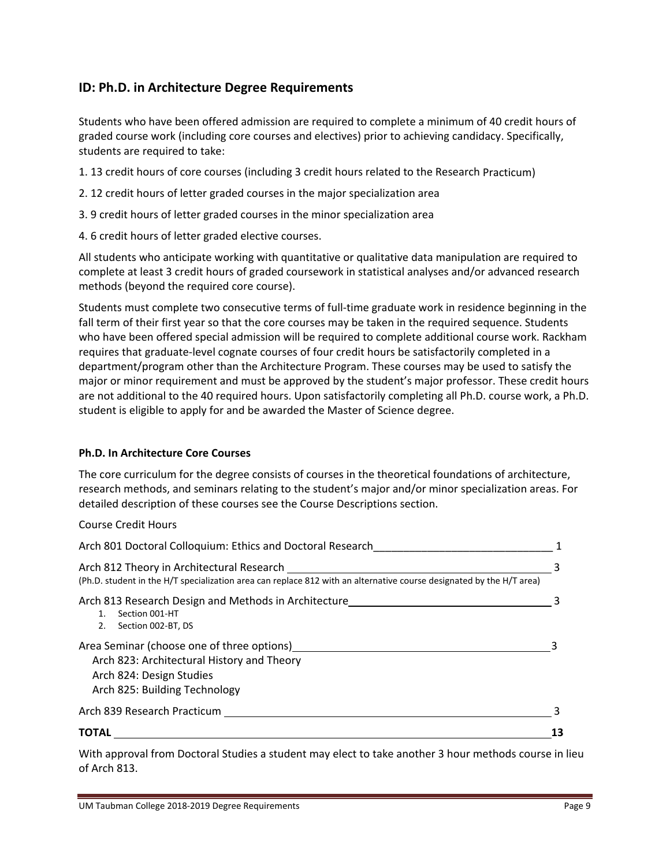# **ID: Ph.D. in Architecture Degree Requirements**

Students who have been offered admission are required to complete a minimum of 40 credit hours of graded course work (including core courses and electives) prior to achieving candidacy. Specifically, students are required to take:

- 1. 13 credit hours of core courses (including 3 credit hours related to the Research Practicum)
- 2. 12 credit hours of letter graded courses in the major specialization area
- 3. 9 credit hours of letter graded courses in the minor specialization area
- 4. 6 credit hours of letter graded elective courses.

All students who anticipate working with quantitative or qualitative data manipulation are required to complete at least 3 credit hours of graded coursework in statistical analyses and/or advanced research methods (beyond the required core course).

Students must complete two consecutive terms of full‐time graduate work in residence beginning in the fall term of their first year so that the core courses may be taken in the required sequence. Students who have been offered special admission will be required to complete additional course work. Rackham requires that graduate‐level cognate courses of four credit hours be satisfactorily completed in a department/program other than the Architecture Program. These courses may be used to satisfy the major or minor requirement and must be approved by the student's major professor. These credit hours are not additional to the 40 required hours. Upon satisfactorily completing all Ph.D. course work, a Ph.D. student is eligible to apply for and be awarded the Master of Science degree.

#### **Ph.D. In Architecture Core Courses**

The core curriculum for the degree consists of courses in the theoretical foundations of architecture, research methods, and seminars relating to the student's major and/or minor specialization areas. For detailed description of these courses see the Course Descriptions section.

Course Credit Hours

| Arch 801 Doctoral Colloquium: Ethics and Doctoral Research                                                                                                        |  |
|-------------------------------------------------------------------------------------------------------------------------------------------------------------------|--|
| Arch 812 Theory in Architectural Research<br>(Ph.D. student in the H/T specialization area can replace 812 with an alternative course designated by the H/T area) |  |
| Arch 813 Research Design and Methods in Architecture<br>Section 001-HT<br>Section 002-BT, DS<br>2.                                                                |  |
| Area Seminar (choose one of three options)<br>Arch 823: Architectural History and Theory<br>Arch 824: Design Studies<br>Arch 825: Building Technology             |  |
| Arch 839 Research Practicum                                                                                                                                       |  |
| <b>TOTAL</b>                                                                                                                                                      |  |

With approval from Doctoral Studies a student may elect to take another 3 hour methods course in lieu of Arch 813.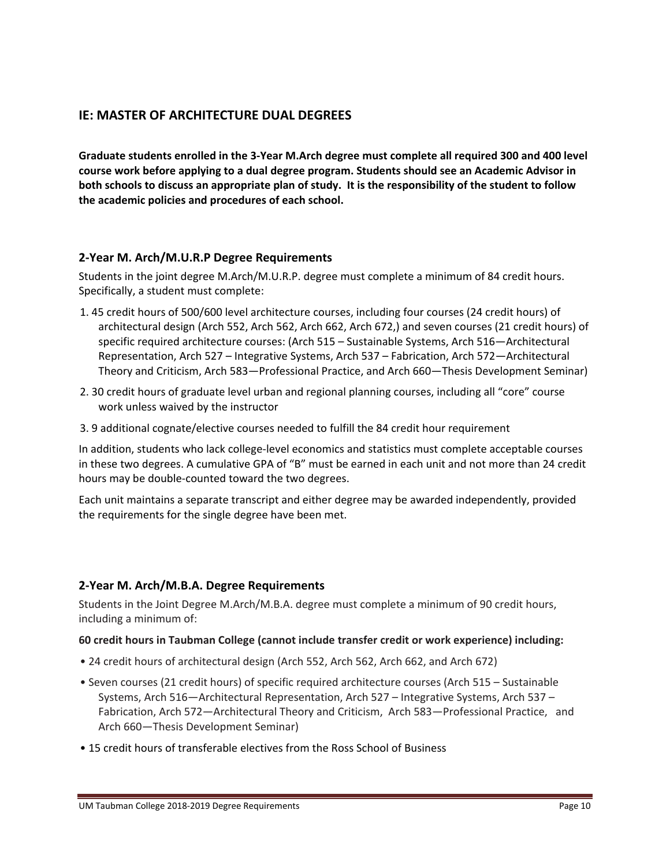# **IE: MASTER OF ARCHITECTURE DUAL DEGREES**

Graduate students enrolled in the 3-Year M.Arch degree must complete all required 300 and 400 level **course work before applying to a dual degree program. Students should see an Academic Advisor in** both schools to discuss an appropriate plan of study. It is the responsibility of the student to follow **the academic policies and procedures of each school.**

# **2‐Year M. Arch/M.U.R.P Degree Requirements**

Students in the joint degree M.Arch/M.U.R.P. degree must complete a minimum of 84 credit hours. Specifically, a student must complete:

- 1. 45 credit hours of 500/600 level architecture courses, including four courses (24 credit hours) of architectural design (Arch 552, Arch 562, Arch 662, Arch 672,) and seven courses (21 credit hours) of specific required architecture courses: (Arch 515 – Sustainable Systems, Arch 516—Architectural Representation, Arch 527 – Integrative Systems, Arch 537 – Fabrication, Arch 572—Architectural Theory and Criticism, Arch 583—Professional Practice, and Arch 660—Thesis Development Seminar)
- 2. 30 credit hours of graduate level urban and regional planning courses, including all "core" course work unless waived by the instructor
- 3. 9 additional cognate/elective courses needed to fulfill the 84 credit hour requirement

In addition, students who lack college‐level economics and statistics must complete acceptable courses in these two degrees. A cumulative GPA of "B" must be earned in each unit and not more than 24 credit hours may be double‐counted toward the two degrees.

Each unit maintains a separate transcript and either degree may be awarded independently, provided the requirements for the single degree have been met.

# **2‐Year M. Arch/M.B.A. Degree Requirements**

Students in the Joint Degree M.Arch/M.B.A. degree must complete a minimum of 90 credit hours, including a minimum of:

#### **60 credit hours in Taubman College (cannot include transfer credit or work experience) including:**

- 24 credit hours of architectural design (Arch 552, Arch 562, Arch 662, and Arch 672)
- Seven courses (21 credit hours) of specific required architecture courses (Arch 515 Sustainable Systems, Arch 516—Architectural Representation, Arch 527 – Integrative Systems, Arch 537 – Fabrication, Arch 572—Architectural Theory and Criticism, Arch 583—Professional Practice, and Arch 660—Thesis Development Seminar)
- 15 credit hours of transferable electives from the Ross School of Business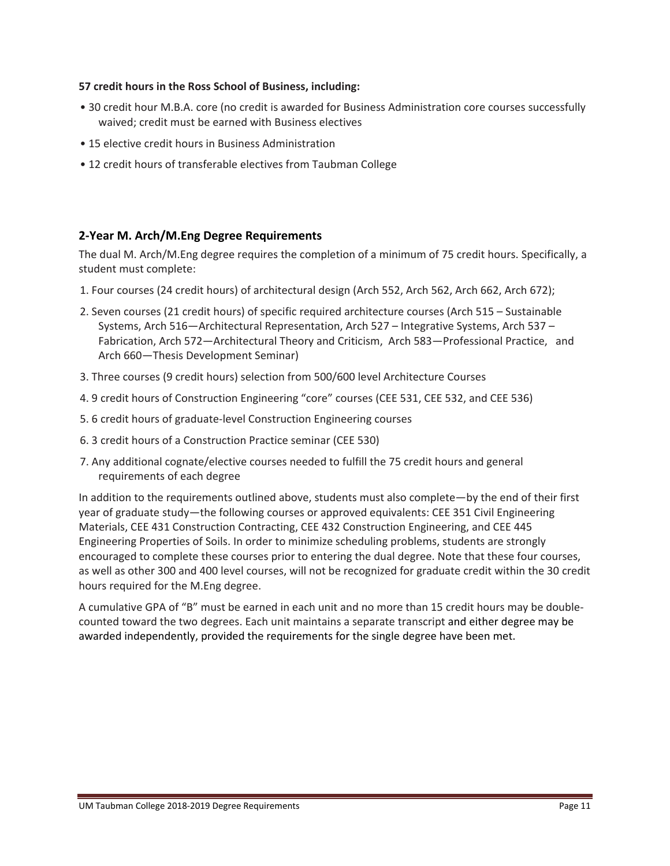#### **57 credit hours in the Ross School of Business, including:**

- 30 credit hour M.B.A. core (no credit is awarded for Business Administration core courses successfully waived; credit must be earned with Business electives
- 15 elective credit hours in Business Administration
- 12 credit hours of transferable electives from Taubman College

#### **2‐Year M. Arch/M.Eng Degree Requirements**

The dual M. Arch/M.Eng degree requires the completion of a minimum of 75 credit hours. Specifically, a student must complete:

- 1. Four courses (24 credit hours) of architectural design (Arch 552, Arch 562, Arch 662, Arch 672);
- 2. Seven courses (21 credit hours) of specific required architecture courses (Arch 515 Sustainable Systems, Arch 516—Architectural Representation, Arch 527 – Integrative Systems, Arch 537 – Fabrication, Arch 572—Architectural Theory and Criticism, Arch 583—Professional Practice, and Arch 660—Thesis Development Seminar)
- 3. Three courses (9 credit hours) selection from 500/600 level Architecture Courses
- 4. 9 credit hours of Construction Engineering "core" courses (CEE 531, CEE 532, and CEE 536)
- 5. 6 credit hours of graduate‐level Construction Engineering courses
- 6. 3 credit hours of a Construction Practice seminar (CEE 530)
- 7. Any additional cognate/elective courses needed to fulfill the 75 credit hours and general requirements of each degree

In addition to the requirements outlined above, students must also complete—by the end of their first year of graduate study—the following courses or approved equivalents: CEE 351 Civil Engineering Materials, CEE 431 Construction Contracting, CEE 432 Construction Engineering, and CEE 445 Engineering Properties of Soils. In order to minimize scheduling problems, students are strongly encouraged to complete these courses prior to entering the dual degree. Note that these four courses, as well as other 300 and 400 level courses, will not be recognized for graduate credit within the 30 credit hours required for the M.Eng degree.

A cumulative GPA of "B" must be earned in each unit and no more than 15 credit hours may be double‐ counted toward the two degrees. Each unit maintains a separate transcript and either degree may be awarded independently, provided the requirements for the single degree have been met.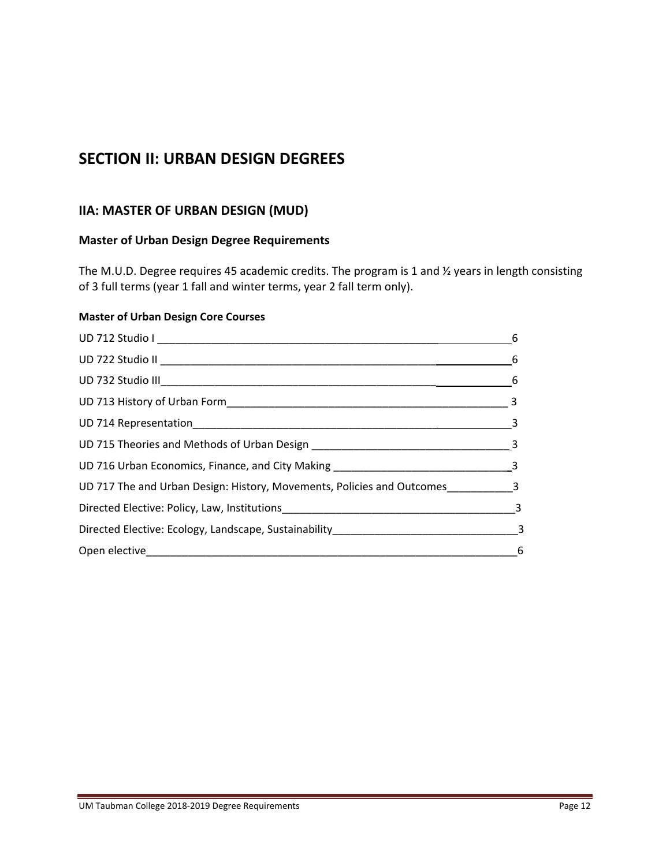# **SECTION II: URBAN DESIGN DEGREES**

# **IIA: MASTER OF URBAN DESIGN (MUD)**

# **Master of Urban Design Degree Requirements**

The M.U.D. Degree requires 45 academic credits. The program is 1 and ½ years in length consisting of 3 full terms (year 1 fall and winter terms, year 2 fall term only).

#### **Master of Urban Design Core Courses**

|                                                                                    | 6 |
|------------------------------------------------------------------------------------|---|
| $\frac{1}{\sqrt{1-\frac{1}{2}}}\left  \begin{array}{c} 6 \end{array} \right $      |   |
| $\frac{1}{\sqrt{1-\frac{1}{2}}}\qquad 6$                                           |   |
|                                                                                    |   |
|                                                                                    |   |
|                                                                                    |   |
|                                                                                    |   |
| UD 717 The and Urban Design: History, Movements, Policies and Outcomes___________3 |   |
|                                                                                    |   |
|                                                                                    |   |
| $\overline{\phantom{a}}$ 6                                                         |   |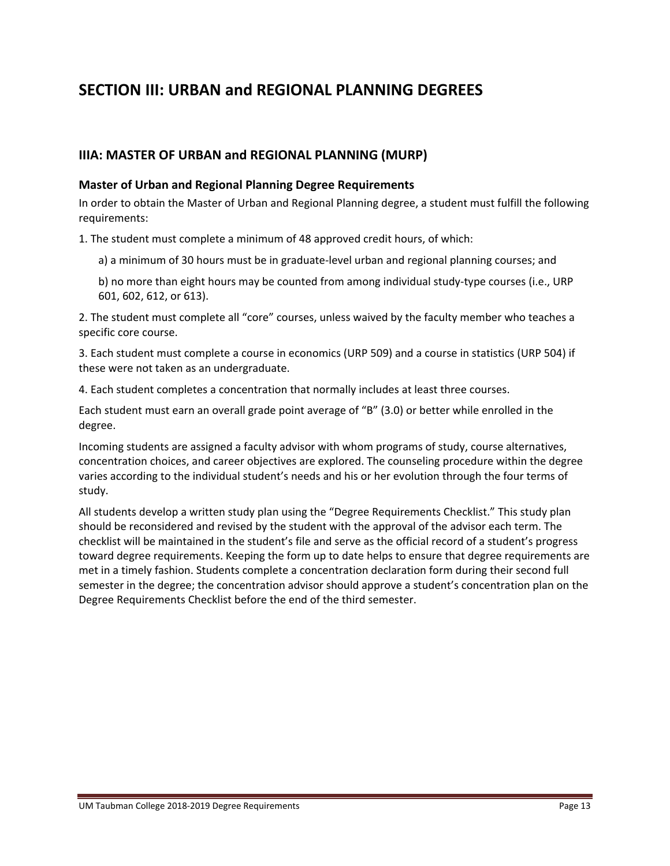# **SECTION III: URBAN and REGIONAL PLANNING DEGREES**

# **IIIA: MASTER OF URBAN and REGIONAL PLANNING (MURP)**

#### **Master of Urban and Regional Planning Degree Requirements**

In order to obtain the Master of Urban and Regional Planning degree, a student must fulfill the following requirements:

1. The student must complete a minimum of 48 approved credit hours, of which:

- a) a minimum of 30 hours must be in graduate‐level urban and regional planning courses; and
- b) no more than eight hours may be counted from among individual study‐type courses (i.e., URP 601, 602, 612, or 613).

2. The student must complete all "core" courses, unless waived by the faculty member who teaches a specific core course.

3. Each student must complete a course in economics (URP 509) and a course in statistics (URP 504) if these were not taken as an undergraduate.

4. Each student completes a concentration that normally includes at least three courses.

Each student must earn an overall grade point average of "B" (3.0) or better while enrolled in the degree.

Incoming students are assigned a faculty advisor with whom programs of study, course alternatives, concentration choices, and career objectives are explored. The counseling procedure within the degree varies according to the individual student's needs and his or her evolution through the four terms of study.

All students develop a written study plan using the "Degree Requirements Checklist." This study plan should be reconsidered and revised by the student with the approval of the advisor each term. The checklist will be maintained in the student's file and serve as the official record of a student's progress toward degree requirements. Keeping the form up to date helps to ensure that degree requirements are met in a timely fashion. Students complete a concentration declaration form during their second full semester in the degree; the concentration advisor should approve a student's concentration plan on the Degree Requirements Checklist before the end of the third semester.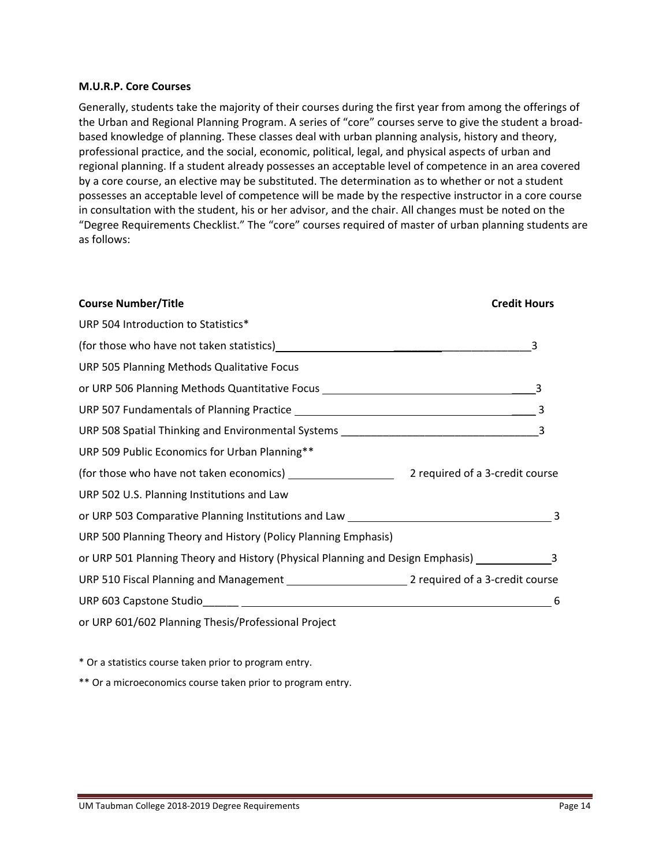#### **M.U.R.P. Core Courses**

Generally, students take the majority of their courses during the first year from among the offerings of the Urban and Regional Planning Program. A series of "core" courses serve to give the student a broad‐ based knowledge of planning. These classes deal with urban planning analysis, history and theory, professional practice, and the social, economic, political, legal, and physical aspects of urban and regional planning. If a student already possesses an acceptable level of competence in an area covered by a core course, an elective may be substituted. The determination as to whether or not a student possesses an acceptable level of competence will be made by the respective instructor in a core course in consultation with the student, his or her advisor, and the chair. All changes must be noted on the "Degree Requirements Checklist." The "core" courses required of master of urban planning students are as follows:

| <b>Course Number/Title</b>                                                                                      | <b>Credit Hours</b> |
|-----------------------------------------------------------------------------------------------------------------|---------------------|
| URP 504 Introduction to Statistics*                                                                             |                     |
|                                                                                                                 | 3                   |
| URP 505 Planning Methods Qualitative Focus                                                                      |                     |
| or URP 506 Planning Methods Quantitative Focus _________________________________                                |                     |
|                                                                                                                 |                     |
|                                                                                                                 |                     |
| URP 509 Public Economics for Urban Planning**                                                                   |                     |
|                                                                                                                 |                     |
| URP 502 U.S. Planning Institutions and Law                                                                      |                     |
| or URP 503 Comparative Planning Institutions and Law Management Compared to the Management Comparative Planning | 3                   |
| URP 500 Planning Theory and History (Policy Planning Emphasis)                                                  |                     |
| or URP 501 Planning Theory and History (Physical Planning and Design Emphasis) ____________________3            |                     |
|                                                                                                                 |                     |
|                                                                                                                 | 6                   |
| or URP 601/602 Planning Thesis/Professional Project                                                             |                     |

\* Or a statistics course taken prior to program entry.

\*\* Or a microeconomics course taken prior to program entry.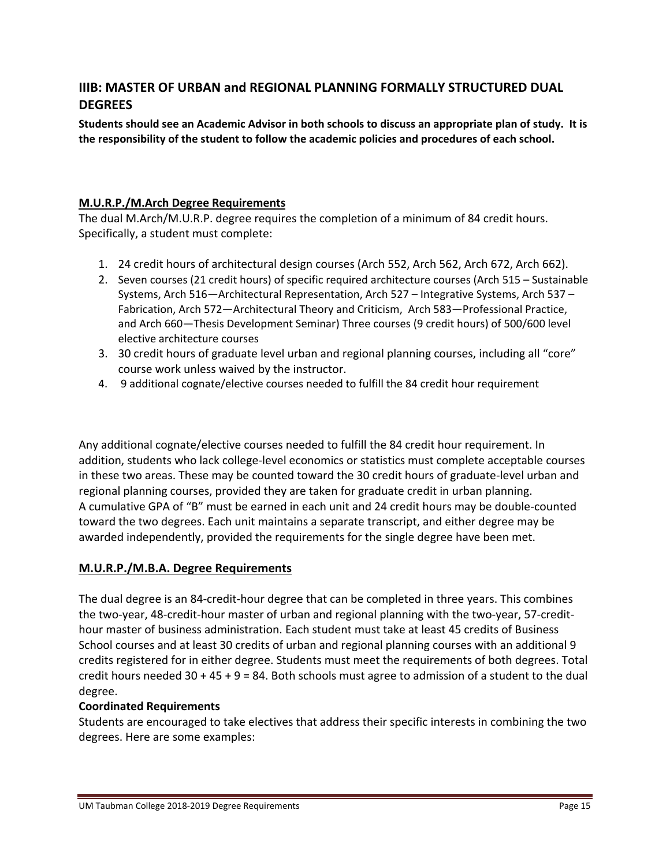# **IIIB: MASTER OF URBAN and REGIONAL PLANNING FORMALLY STRUCTURED DUAL DEGREES**

Students should see an Academic Advisor in both schools to discuss an appropriate plan of study. It is **the responsibility of the student to follow the academic policies and procedures of each school.**

# **M.U.R.P./M.Arch Degree Requirements**

The dual M.Arch/M.U.R.P. degree requires the completion of a minimum of 84 credit hours. Specifically, a student must complete:

- 1. 24 credit hours of architectural design courses (Arch 552, Arch 562, Arch 672, Arch 662).
- 2. Seven courses (21 credit hours) of specific required architecture courses (Arch 515 Sustainable Systems, Arch 516—Architectural Representation, Arch 527 – Integrative Systems, Arch 537 – Fabrication, Arch 572—Architectural Theory and Criticism, Arch 583—Professional Practice, and Arch 660—Thesis Development Seminar) Three courses (9 credit hours) of 500/600 level elective architecture courses
- 3. 30 credit hours of graduate level urban and regional planning courses, including all "core" course work unless waived by the instructor.
- 4. 9 additional cognate/elective courses needed to fulfill the 84 credit hour requirement

Any additional cognate/elective courses needed to fulfill the 84 credit hour requirement. In addition, students who lack college‐level economics or statistics must complete acceptable courses in these two areas. These may be counted toward the 30 credit hours of graduate‐level urban and regional planning courses, provided they are taken for graduate credit in urban planning. A cumulative GPA of "B" must be earned in each unit and 24 credit hours may be double‐counted toward the two degrees. Each unit maintains a separate transcript, and either degree may be awarded independently, provided the requirements for the single degree have been met.

# **M.U.R.P./M.B.A. Degree Requirements**

The dual degree is an 84‐credit‐hour degree that can be completed in three years. This combines the two‐year, 48‐credit‐hour master of urban and regional planning with the two‐year, 57‐credit‐ hour master of business administration. Each student must take at least 45 credits of Business School courses and at least 30 credits of urban and regional planning courses with an additional 9 credits registered for in either degree. Students must meet the requirements of both degrees. Total credit hours needed  $30 + 45 + 9 = 84$ . Both schools must agree to admission of a student to the dual degree.

# **Coordinated Requirements**

Students are encouraged to take electives that address their specific interests in combining the two degrees. Here are some examples: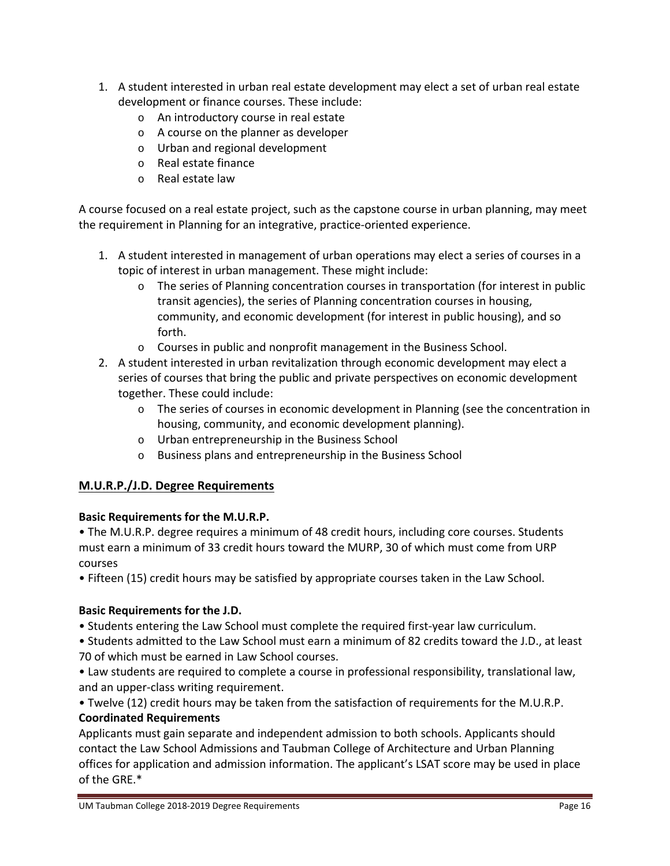- 1. A student interested in urban real estate development may elect a set of urban real estate development or finance courses. These include:
	- o An introductory course in real estate
	- o A course on the planner as developer
	- o Urban and regional development
	- o Real estate finance
	- o Real estate law

A course focused on a real estate project, such as the capstone course in urban planning, may meet the requirement in Planning for an integrative, practice‐oriented experience.

- 1. A student interested in management of urban operations may elect a series of courses in a topic of interest in urban management. These might include:
	- $\circ$  The series of Planning concentration courses in transportation (for interest in public transit agencies), the series of Planning concentration courses in housing, community, and economic development (for interest in public housing), and so forth.
	- o Courses in public and nonprofit management in the Business School.
- 2. A student interested in urban revitalization through economic development may elect a series of courses that bring the public and private perspectives on economic development together. These could include:
	- $\circ$  The series of courses in economic development in Planning (see the concentration in housing, community, and economic development planning).
	- o Urban entrepreneurship in the Business School
	- o Business plans and entrepreneurship in the Business School

# **M.U.R.P./J.D. Degree Requirements**

# **Basic Requirements for the M.U.R.P.**

• The M.U.R.P. degree requires a minimum of 48 credit hours, including core courses. Students must earn a minimum of 33 credit hours toward the MURP, 30 of which must come from URP courses

• Fifteen (15) credit hours may be satisfied by appropriate courses taken in the Law School.

# **Basic Requirements for the J.D.**

• Students entering the Law School must complete the required first‐year law curriculum.

• Students admitted to the Law School must earn a minimum of 82 credits toward the J.D., at least 70 of which must be earned in Law School courses.

• Law students are required to complete a course in professional responsibility, translational law, and an upper‐class writing requirement.

• Twelve (12) credit hours may be taken from the satisfaction of requirements for the M.U.R.P. **Coordinated Requirements**

Applicants must gain separate and independent admission to both schools. Applicants should contact the Law School Admissions and Taubman College of Architecture and Urban Planning offices for application and admission information. The applicant's LSAT score may be used in place of the GRE.\*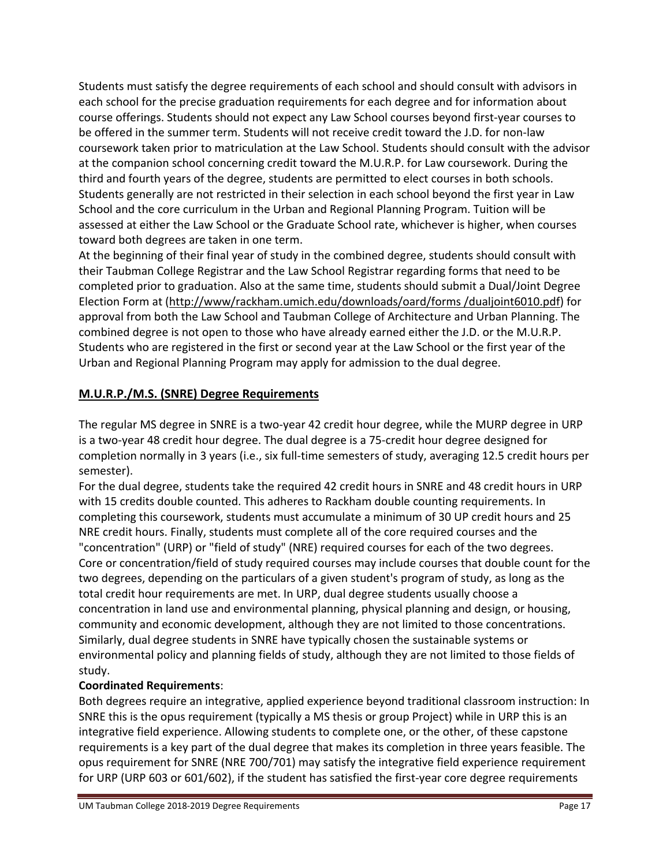Students must satisfy the degree requirements of each school and should consult with advisors in each school for the precise graduation requirements for each degree and for information about course offerings. Students should not expect any Law School courses beyond first‐year courses to be offered in the summer term. Students will not receive credit toward the J.D. for non-law coursework taken prior to matriculation at the Law School. Students should consult with the advisor at the companion school concerning credit toward the M.U.R.P. for Law coursework. During the third and fourth years of the degree, students are permitted to elect courses in both schools. Students generally are not restricted in their selection in each school beyond the first year in Law School and the core curriculum in the Urban and Regional Planning Program. Tuition will be assessed at either the Law School or the Graduate School rate, whichever is higher, when courses toward both degrees are taken in one term.

At the beginning of their final year of study in the combined degree, students should consult with their Taubman College Registrar and the Law School Registrar regarding forms that need to be completed prior to graduation. Also at the same time, students should submit a Dual/Joint Degree Election Form at (http://www/rackham.umich.edu/downloads/oard/forms /dualjoint6010.pdf) for approval from both the Law School and Taubman College of Architecture and Urban Planning. The combined degree is not open to those who have already earned either the J.D. or the M.U.R.P. Students who are registered in the first or second year at the Law School or the first year of the Urban and Regional Planning Program may apply for admission to the dual degree.

# **M.U.R.P./M.S. (SNRE) Degree Requirements**

The regular MS degree in SNRE is a two-year 42 credit hour degree, while the MURP degree in URP is a two‐year 48 credit hour degree. The dual degree is a 75‐credit hour degree designed for completion normally in 3 years (i.e., six full‐time semesters of study, averaging 12.5 credit hours per semester).

For the dual degree, students take the required 42 credit hours in SNRE and 48 credit hours in URP with 15 credits double counted. This adheres to Rackham double counting requirements. In completing this coursework, students must accumulate a minimum of 30 UP credit hours and 25 NRE credit hours. Finally, students must complete all of the core required courses and the "concentration" (URP) or "field of study" (NRE) required courses for each of the two degrees. Core or concentration/field of study required courses may include courses that double count for the two degrees, depending on the particulars of a given student's program of study, as long as the total credit hour requirements are met. In URP, dual degree students usually choose a concentration in land use and environmental planning, physical planning and design, or housing, community and economic development, although they are not limited to those concentrations. Similarly, dual degree students in SNRE have typically chosen the sustainable systems or environmental policy and planning fields of study, although they are not limited to those fields of study.

# **Coordinated Requirements**:

Both degrees require an integrative, applied experience beyond traditional classroom instruction: In SNRE this is the opus requirement (typically a MS thesis or group Project) while in URP this is an integrative field experience. Allowing students to complete one, or the other, of these capstone requirements is a key part of the dual degree that makes its completion in three years feasible. The opus requirement for SNRE (NRE 700/701) may satisfy the integrative field experience requirement for URP (URP 603 or 601/602), if the student has satisfied the first-year core degree requirements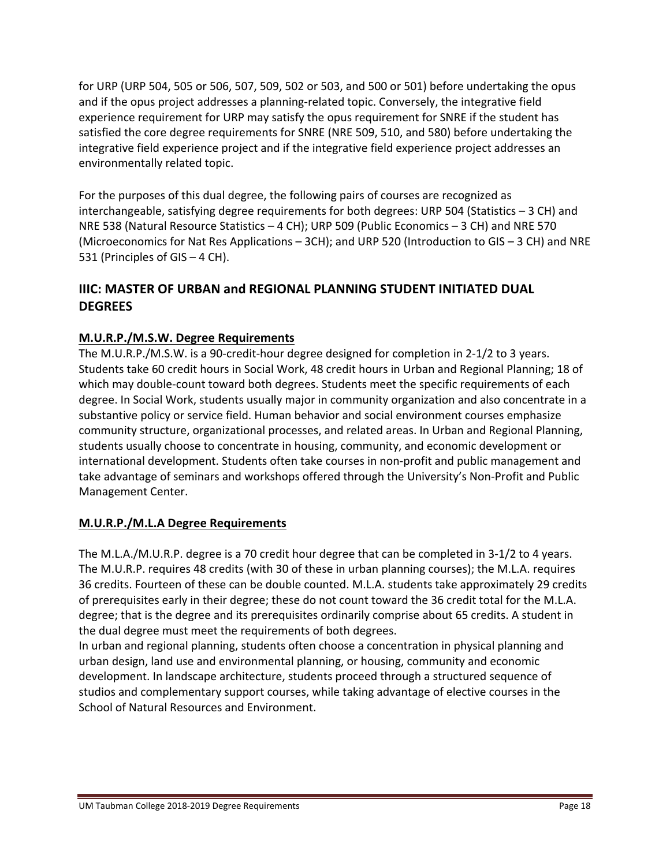for URP (URP 504, 505 or 506, 507, 509, 502 or 503, and 500 or 501) before undertaking the opus and if the opus project addresses a planning-related topic. Conversely, the integrative field experience requirement for URP may satisfy the opus requirement for SNRE if the student has satisfied the core degree requirements for SNRE (NRE 509, 510, and 580) before undertaking the integrative field experience project and if the integrative field experience project addresses an environmentally related topic.

For the purposes of this dual degree, the following pairs of courses are recognized as interchangeable, satisfying degree requirements for both degrees: URP 504 (Statistics – 3 CH) and NRE 538 (Natural Resource Statistics – 4 CH); URP 509 (Public Economics – 3 CH) and NRE 570 (Microeconomics for Nat Res Applications – 3CH); and URP 520 (Introduction to GIS – 3 CH) and NRE 531 (Principles of GIS – 4 CH).

# **IIIC: MASTER OF URBAN and REGIONAL PLANNING STUDENT INITIATED DUAL DEGREES**

# **M.U.R.P./M.S.W. Degree Requirements**

The M.U.R.P./M.S.W. is a 90-credit-hour degree designed for completion in 2-1/2 to 3 years. Students take 60 credit hours in Social Work, 48 credit hours in Urban and Regional Planning; 18 of which may double-count toward both degrees. Students meet the specific requirements of each degree. In Social Work, students usually major in community organization and also concentrate in a substantive policy or service field. Human behavior and social environment courses emphasize community structure, organizational processes, and related areas. In Urban and Regional Planning, students usually choose to concentrate in housing, community, and economic development or international development. Students often take courses in non‐profit and public management and take advantage of seminars and workshops offered through the University's Non‐Profit and Public Management Center.

# **M.U.R.P./M.L.A Degree Requirements**

The M.L.A./M.U.R.P. degree is a 70 credit hour degree that can be completed in 3‐1/2 to 4 years. The M.U.R.P. requires 48 credits (with 30 of these in urban planning courses); the M.L.A. requires 36 credits. Fourteen of these can be double counted. M.L.A. students take approximately 29 credits of prerequisites early in their degree; these do not count toward the 36 credit total for the M.L.A. degree; that is the degree and its prerequisites ordinarily comprise about 65 credits. A student in the dual degree must meet the requirements of both degrees.

In urban and regional planning, students often choose a concentration in physical planning and urban design, land use and environmental planning, or housing, community and economic development. In landscape architecture, students proceed through a structured sequence of studios and complementary support courses, while taking advantage of elective courses in the School of Natural Resources and Environment.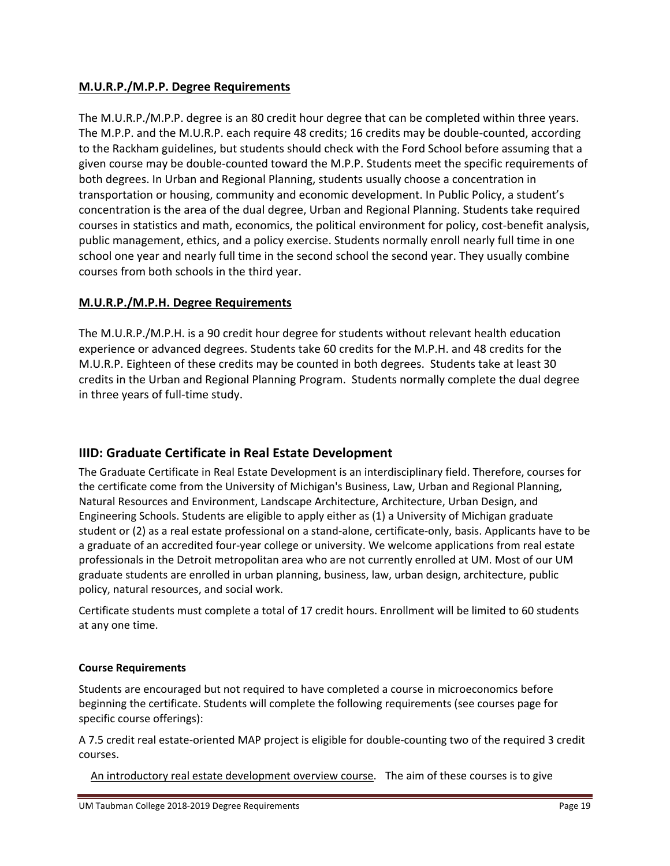# **M.U.R.P./M.P.P. Degree Requirements**

The M.U.R.P./M.P.P. degree is an 80 credit hour degree that can be completed within three years. The M.P.P. and the M.U.R.P. each require 48 credits; 16 credits may be double‐counted, according to the Rackham guidelines, but students should check with the Ford School before assuming that a given course may be double‐counted toward the M.P.P. Students meet the specific requirements of both degrees. In Urban and Regional Planning, students usually choose a concentration in transportation or housing, community and economic development. In Public Policy, a student's concentration is the area of the dual degree, Urban and Regional Planning. Students take required courses in statistics and math, economics, the political environment for policy, cost‐benefit analysis, public management, ethics, and a policy exercise. Students normally enroll nearly full time in one school one year and nearly full time in the second school the second year. They usually combine courses from both schools in the third year.

# **M.U.R.P./M.P.H. Degree Requirements**

The M.U.R.P./M.P.H. is a 90 credit hour degree for students without relevant health education experience or advanced degrees. Students take 60 credits for the M.P.H. and 48 credits for the M.U.R.P. Eighteen of these credits may be counted in both degrees. Students take at least 30 credits in the Urban and Regional Planning Program. Students normally complete the dual degree in three years of full‐time study.

# **IIID: Graduate Certificate in Real Estate Development**

The Graduate Certificate in Real Estate Development is an interdisciplinary field. Therefore, courses for the certificate come from the University of Michigan's Business, Law, Urban and Regional Planning, Natural Resources and Environment, Landscape Architecture, Architecture, Urban Design, and Engineering Schools. Students are eligible to apply either as (1) a University of Michigan graduate student or (2) as a real estate professional on a stand‐alone, certificate‐only, basis. Applicants have to be a graduate of an accredited four‐year college or university. We welcome applications from real estate professionals in the Detroit metropolitan area who are not currently enrolled at UM. Most of our UM graduate students are enrolled in urban planning, business, law, urban design, architecture, public policy, natural resources, and social work.

Certificate students must complete a total of 17 credit hours. Enrollment will be limited to 60 students at any one time.

# **Course Requirements**

Students are encouraged but not required to have completed a course in microeconomics before beginning the certificate. Students will complete the following requirements (see courses page for specific course offerings):

A 7.5 credit real estate‐oriented MAP project is eligible for double‐counting two of the required 3 credit courses.

An introductory real estate development overview course. The aim of these courses is to give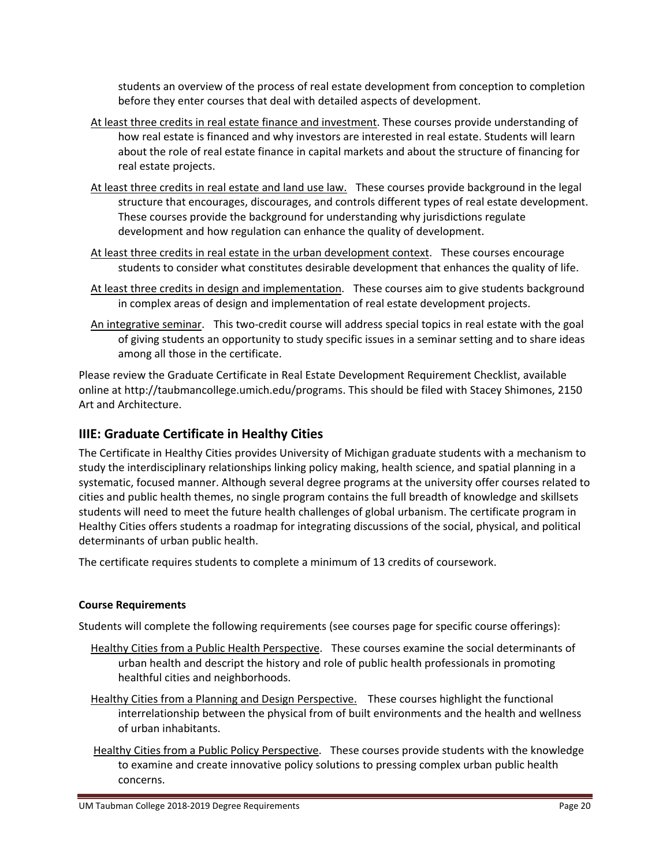students an overview of the process of real estate development from conception to completion before they enter courses that deal with detailed aspects of development.

- At least three credits in real estate finance and investment. These courses provide understanding of how real estate is financed and why investors are interested in real estate. Students will learn about the role of real estate finance in capital markets and about the structure of financing for real estate projects.
- At least three credits in real estate and land use law. These courses provide background in the legal structure that encourages, discourages, and controls different types of real estate development. These courses provide the background for understanding why jurisdictions regulate development and how regulation can enhance the quality of development.
- At least three credits in real estate in the urban development context. These courses encourage students to consider what constitutes desirable development that enhances the quality of life.
- At least three credits in design and implementation. These courses aim to give students background in complex areas of design and implementation of real estate development projects.
- An integrative seminar. This two-credit course will address special topics in real estate with the goal of giving students an opportunity to study specific issues in a seminar setting and to share ideas among all those in the certificate.

Please review the Graduate Certificate in Real Estate Development Requirement Checklist, available online at http://taubmancollege.umich.edu/programs. This should be filed with Stacey Shimones, 2150 Art and Architecture.

# **IIIE: Graduate Certificate in Healthy Cities**

The Certificate in Healthy Cities provides University of Michigan graduate students with a mechanism to study the interdisciplinary relationships linking policy making, health science, and spatial planning in a systematic, focused manner. Although several degree programs at the university offer courses related to cities and public health themes, no single program contains the full breadth of knowledge and skillsets students will need to meet the future health challenges of global urbanism. The certificate program in Healthy Cities offers students a roadmap for integrating discussions of the social, physical, and political determinants of urban public health.

The certificate requires students to complete a minimum of 13 credits of coursework.

#### **Course Requirements**

Students will complete the following requirements (see courses page for specific course offerings):

- Healthy Cities from a Public Health Perspective. These courses examine the social determinants of urban health and descript the history and role of public health professionals in promoting healthful cities and neighborhoods.
- Healthy Cities from a Planning and Design Perspective. These courses highlight the functional interrelationship between the physical from of built environments and the health and wellness of urban inhabitants.
- Healthy Cities from a Public Policy Perspective. These courses provide students with the knowledge to examine and create innovative policy solutions to pressing complex urban public health concerns.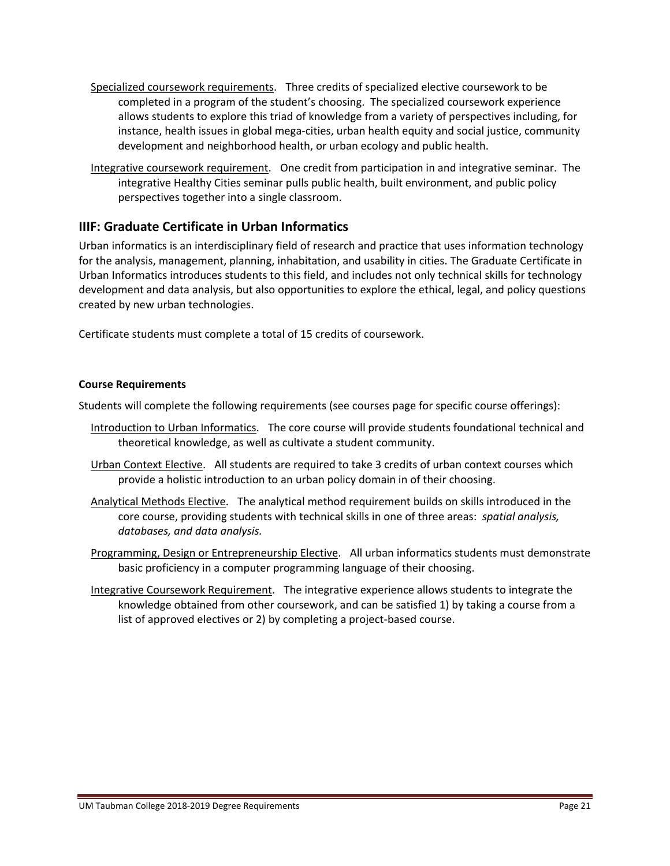- Specialized coursework requirements. Three credits of specialized elective coursework to be completed in a program of the student's choosing. The specialized coursework experience allows students to explore this triad of knowledge from a variety of perspectives including, for instance, health issues in global mega‐cities, urban health equity and social justice, community development and neighborhood health, or urban ecology and public health.
- Integrative coursework requirement. One credit from participation in and integrative seminar. The integrative Healthy Cities seminar pulls public health, built environment, and public policy perspectives together into a single classroom.

# **IIIF: Graduate Certificate in Urban Informatics**

Urban informatics is an interdisciplinary field of research and practice that uses information technology for the analysis, management, planning, inhabitation, and usability in cities. The Graduate Certificate in Urban Informatics introduces students to this field, and includes not only technical skills for technology development and data analysis, but also opportunities to explore the ethical, legal, and policy questions created by new urban technologies.

Certificate students must complete a total of 15 credits of coursework.

#### **Course Requirements**

Students will complete the following requirements (see courses page for specific course offerings):

- Introduction to Urban Informatics. The core course will provide students foundational technical and theoretical knowledge, as well as cultivate a student community.
- Urban Context Elective. All students are required to take 3 credits of urban context courses which provide a holistic introduction to an urban policy domain in of their choosing.
- Analytical Methods Elective. The analytical method requirement builds on skills introduced in the core course, providing students with technical skills in one of three areas: *spatial analysis, databases, and data analysis.*
- Programming, Design or Entrepreneurship Elective. All urban informatics students must demonstrate basic proficiency in a computer programming language of their choosing.
- Integrative Coursework Requirement. The integrative experience allows students to integrate the knowledge obtained from other coursework, and can be satisfied 1) by taking a course from a list of approved electives or 2) by completing a project‐based course.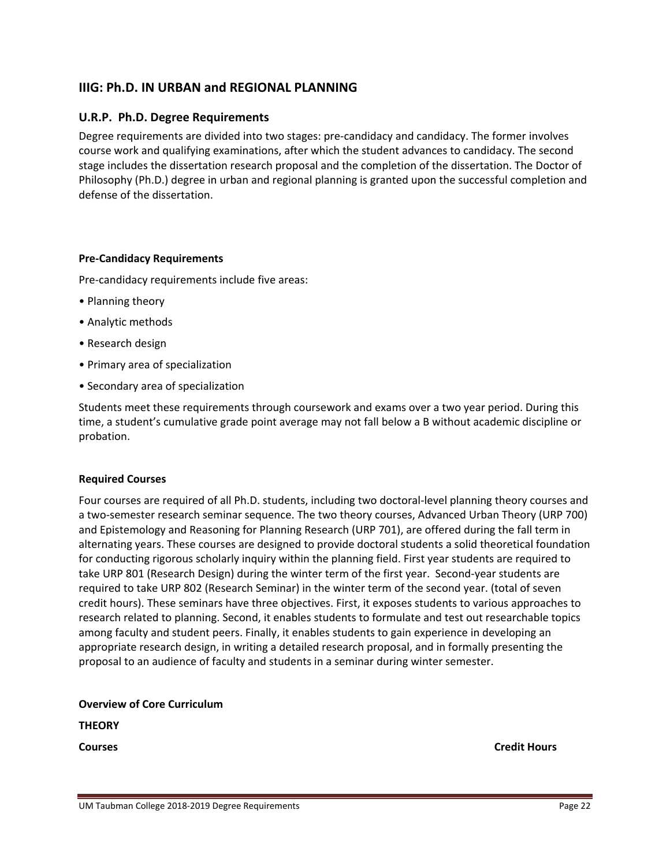# **IIIG: Ph.D. IN URBAN and REGIONAL PLANNING**

#### **U.R.P. Ph.D. Degree Requirements**

Degree requirements are divided into two stages: pre‐candidacy and candidacy. The former involves course work and qualifying examinations, after which the student advances to candidacy. The second stage includes the dissertation research proposal and the completion of the dissertation. The Doctor of Philosophy (Ph.D.) degree in urban and regional planning is granted upon the successful completion and defense of the dissertation.

#### **Pre‐Candidacy Requirements**

Pre‐candidacy requirements include five areas:

- Planning theory
- Analytic methods
- Research design
- Primary area of specialization
- Secondary area of specialization

Students meet these requirements through coursework and exams over a two year period. During this time, a student's cumulative grade point average may not fall below a B without academic discipline or probation.

#### **Required Courses**

Four courses are required of all Ph.D. students, including two doctoral‐level planning theory courses and a two‐semester research seminar sequence. The two theory courses, Advanced Urban Theory (URP 700) and Epistemology and Reasoning for Planning Research (URP 701), are offered during the fall term in alternating years. These courses are designed to provide doctoral students a solid theoretical foundation for conducting rigorous scholarly inquiry within the planning field. First year students are required to take URP 801 (Research Design) during the winter term of the first year. Second‐year students are required to take URP 802 (Research Seminar) in the winter term of the second year. (total of seven credit hours). These seminars have three objectives. First, it exposes students to various approaches to research related to planning. Second, it enables students to formulate and test out researchable topics among faculty and student peers. Finally, it enables students to gain experience in developing an appropriate research design, in writing a detailed research proposal, and in formally presenting the proposal to an audience of faculty and students in a seminar during winter semester.

**Overview of Core Curriculum** 

**THEORY**

**Courses Credit Hours**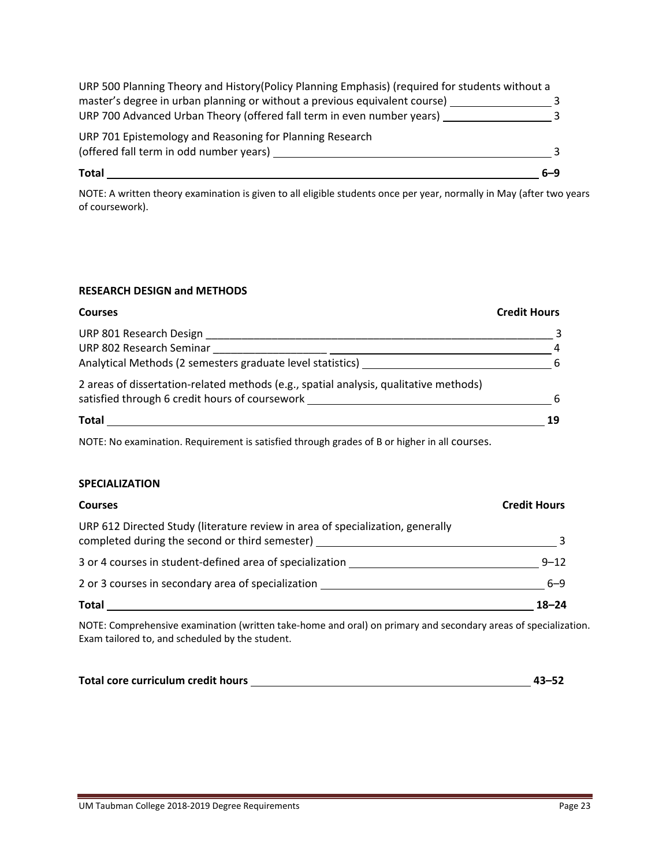| <b>Total</b>                                                                                    | 6–9 |
|-------------------------------------------------------------------------------------------------|-----|
| (offered fall term in odd number years)                                                         |     |
| URP 701 Epistemology and Reasoning for Planning Research                                        |     |
| URP 700 Advanced Urban Theory (offered fall term in even number years)                          |     |
| master's degree in urban planning or without a previous equivalent course)                      |     |
| URP 500 Planning Theory and History (Policy Planning Emphasis) (required for students without a |     |

NOTE: A written theory examination is given to all eligible students once per year, normally in May (after two years of coursework).

#### **RESEARCH DESIGN and METHODS**

| <b>Courses</b>                                                                        | <b>Credit Hours</b> |
|---------------------------------------------------------------------------------------|---------------------|
| URP 801 Research Design                                                               |                     |
| URP 802 Research Seminar                                                              | 4                   |
| Analytical Methods (2 semesters graduate level statistics)                            | -6                  |
| 2 areas of dissertation-related methods (e.g., spatial analysis, qualitative methods) |                     |
| satisfied through 6 credit hours of coursework                                        | -6                  |
| Total                                                                                 | 19                  |

NOTE: No examination. Requirement is satisfied through grades of B or higher in all courses.

#### **SPECIALIZATION**

| <b>Courses</b>                                                                                                                   | <b>Credit Hours</b> |
|----------------------------------------------------------------------------------------------------------------------------------|---------------------|
| URP 612 Directed Study (literature review in area of specialization, generally<br>completed during the second or third semester) |                     |
| 3 or 4 courses in student-defined area of specialization                                                                         | $9 - 12$            |
| 2 or 3 courses in secondary area of specialization                                                                               | $6 - 9$             |
| <b>Total</b>                                                                                                                     | $18 - 24$           |

NOTE: Comprehensive examination (written take‐home and oral) on primary and secondary areas of specialization. Exam tailored to, and scheduled by the student.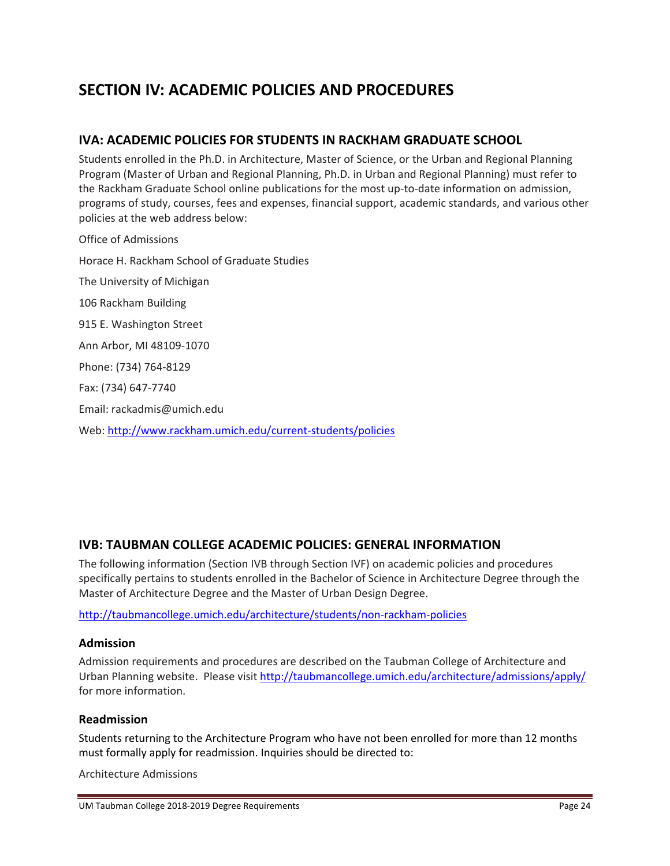# **SECTION IV: ACADEMIC POLICIES AND PROCEDURES**

# **IVA: ACADEMIC POLICIES FOR STUDENTS IN RACKHAM GRADUATE SCHOOL**

Students enrolled in the Ph.D. in Architecture, Master of Science, or the Urban and Regional Planning Program (Master of Urban and Regional Planning, Ph.D. in Urban and Regional Planning) must refer to the Rackham Graduate School online publications for the most up‐to‐date information on admission, programs of study, courses, fees and expenses, financial support, academic standards, and various other policies at the web address below:

Office of Admissions Horace H. Rackham School of Graduate Studies The University of Michigan 106 Rackham Building 915 E. Washington Street Ann Arbor, MI 48109‐1070 Phone: (734) 764‐8129 Fax: (734) 647‐7740 Email: rackadmis@umich.edu Web: http://www.rackham.umich.edu/current‐students/policies

# **IVB: TAUBMAN COLLEGE ACADEMIC POLICIES: GENERAL INFORMATION**

The following information (Section IVB through Section IVF) on academic policies and procedures specifically pertains to students enrolled in the Bachelor of Science in Architecture Degree through the Master of Architecture Degree and the Master of Urban Design Degree.

http://taubmancollege.umich.edu/architecture/students/non‐rackham‐policies

#### **Admission**

Admission requirements and procedures are described on the Taubman College of Architecture and Urban Planning website. Please visit http://taubmancollege.umich.edu/architecture/admissions/apply/ for more information.

#### **Readmission**

Students returning to the Architecture Program who have not been enrolled for more than 12 months must formally apply for readmission. Inquiries should be directed to:

Architecture Admissions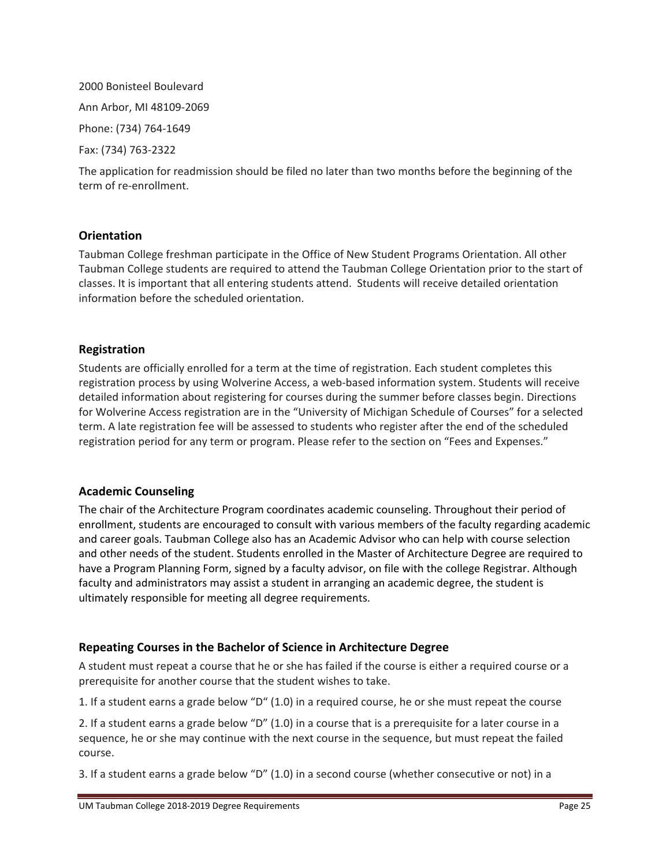# 2000 Bonisteel Boulevard Ann Arbor, MI 48109‐2069 Phone: (734) 764‐1649 Fax: (734) 763‐2322

The application for readmission should be filed no later than two months before the beginning of the term of re‐enrollment.

### **Orientation**

Taubman College freshman participate in the Office of New Student Programs Orientation. All other Taubman College students are required to attend the Taubman College Orientation prior to the start of classes. It is important that all entering students attend. Students will receive detailed orientation information before the scheduled orientation.

# **Registration**

Students are officially enrolled for a term at the time of registration. Each student completes this registration process by using Wolverine Access, a web-based information system. Students will receive detailed information about registering for courses during the summer before classes begin. Directions for Wolverine Access registration are in the "University of Michigan Schedule of Courses" for a selected term. A late registration fee will be assessed to students who register after the end of the scheduled registration period for any term or program. Please refer to the section on "Fees and Expenses."

#### **Academic Counseling**

The chair of the Architecture Program coordinates academic counseling. Throughout their period of enrollment, students are encouraged to consult with various members of the faculty regarding academic and career goals. Taubman College also has an Academic Advisor who can help with course selection and other needs of the student. Students enrolled in the Master of Architecture Degree are required to have a Program Planning Form, signed by a faculty advisor, on file with the college Registrar. Although faculty and administrators may assist a student in arranging an academic degree, the student is ultimately responsible for meeting all degree requirements.

# **Repeating Courses in the Bachelor of Science in Architecture Degree**

A student must repeat a course that he or she has failed if the course is either a required course or a prerequisite for another course that the student wishes to take.

1. If a student earns a grade below "D" (1.0) in a required course, he or she must repeat the course

2. If a student earns a grade below "D" (1.0) in a course that is a prerequisite for a later course in a sequence, he or she may continue with the next course in the sequence, but must repeat the failed course.

3. If a student earns a grade below "D" (1.0) in a second course (whether consecutive or not) in a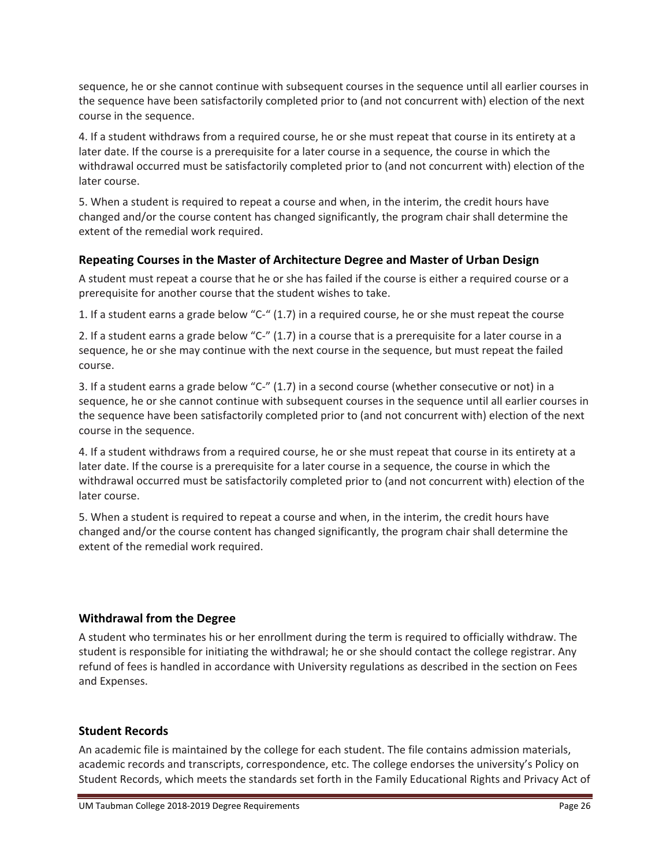sequence, he or she cannot continue with subsequent courses in the sequence until all earlier courses in the sequence have been satisfactorily completed prior to (and not concurrent with) election of the next course in the sequence.

4. If a student withdraws from a required course, he or she must repeat that course in its entirety at a later date. If the course is a prerequisite for a later course in a sequence, the course in which the withdrawal occurred must be satisfactorily completed prior to (and not concurrent with) election of the later course.

5. When a student is required to repeat a course and when, in the interim, the credit hours have changed and/or the course content has changed significantly, the program chair shall determine the extent of the remedial work required.

# **Repeating Courses in the Master of Architecture Degree and Master of Urban Design**

A student must repeat a course that he or she has failed if the course is either a required course or a prerequisite for another course that the student wishes to take.

1. If a student earns a grade below "C‐" (1.7) in a required course, he or she must repeat the course

2. If a student earns a grade below "C-" (1.7) in a course that is a prerequisite for a later course in a sequence, he or she may continue with the next course in the sequence, but must repeat the failed course.

3. If a student earns a grade below "C‐" (1.7) in a second course (whether consecutive or not) in a sequence, he or she cannot continue with subsequent courses in the sequence until all earlier courses in the sequence have been satisfactorily completed prior to (and not concurrent with) election of the next course in the sequence.

4. If a student withdraws from a required course, he or she must repeat that course in its entirety at a later date. If the course is a prerequisite for a later course in a sequence, the course in which the withdrawal occurred must be satisfactorily completed prior to (and not concurrent with) election of the later course.

5. When a student is required to repeat a course and when, in the interim, the credit hours have changed and/or the course content has changed significantly, the program chair shall determine the extent of the remedial work required.

# **Withdrawal from the Degree**

A student who terminates his or her enrollment during the term is required to officially withdraw. The student is responsible for initiating the withdrawal; he or she should contact the college registrar. Any refund of fees is handled in accordance with University regulations as described in the section on Fees and Expenses.

# **Student Records**

An academic file is maintained by the college for each student. The file contains admission materials, academic records and transcripts, correspondence, etc. The college endorses the university's Policy on Student Records, which meets the standards set forth in the Family Educational Rights and Privacy Act of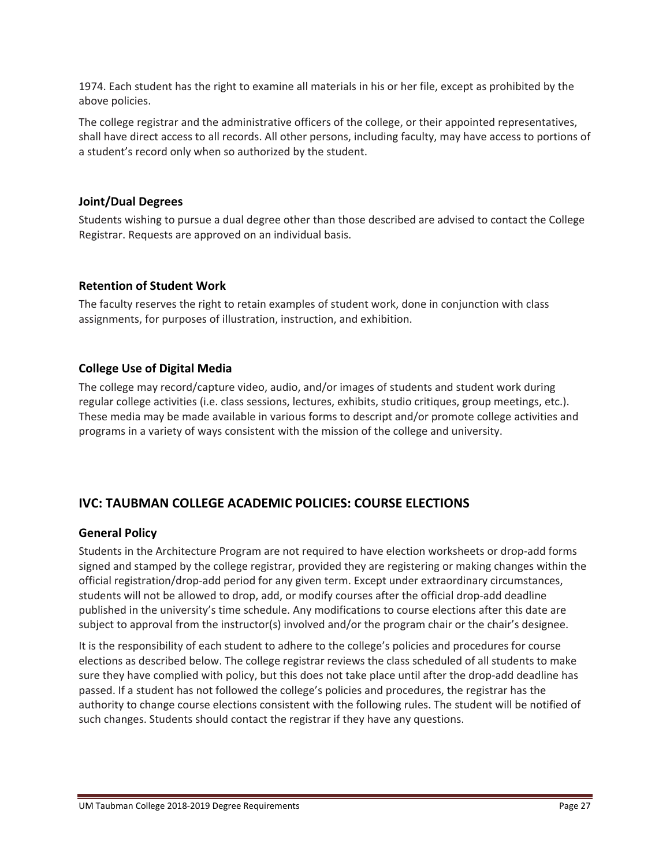1974. Each student has the right to examine all materials in his or her file, except as prohibited by the above policies.

The college registrar and the administrative officers of the college, or their appointed representatives, shall have direct access to all records. All other persons, including faculty, may have access to portions of a student's record only when so authorized by the student.

### **Joint/Dual Degrees**

Students wishing to pursue a dual degree other than those described are advised to contact the College Registrar. Requests are approved on an individual basis.

### **Retention of Student Work**

The faculty reserves the right to retain examples of student work, done in conjunction with class assignments, for purposes of illustration, instruction, and exhibition.

# **College Use of Digital Media**

The college may record/capture video, audio, and/or images of students and student work during regular college activities (i.e. class sessions, lectures, exhibits, studio critiques, group meetings, etc.). These media may be made available in various forms to descript and/or promote college activities and programs in a variety of ways consistent with the mission of the college and university.

# **IVC: TAUBMAN COLLEGE ACADEMIC POLICIES: COURSE ELECTIONS**

#### **General Policy**

Students in the Architecture Program are not required to have election worksheets or drop-add forms signed and stamped by the college registrar, provided they are registering or making changes within the official registration/drop‐add period for any given term. Except under extraordinary circumstances, students will not be allowed to drop, add, or modify courses after the official drop-add deadline published in the university's time schedule. Any modifications to course elections after this date are subject to approval from the instructor(s) involved and/or the program chair or the chair's designee.

It is the responsibility of each student to adhere to the college's policies and procedures for course elections as described below. The college registrar reviews the class scheduled of all students to make sure they have complied with policy, but this does not take place until after the drop-add deadline has passed. If a student has not followed the college's policies and procedures, the registrar has the authority to change course elections consistent with the following rules. The student will be notified of such changes. Students should contact the registrar if they have any questions.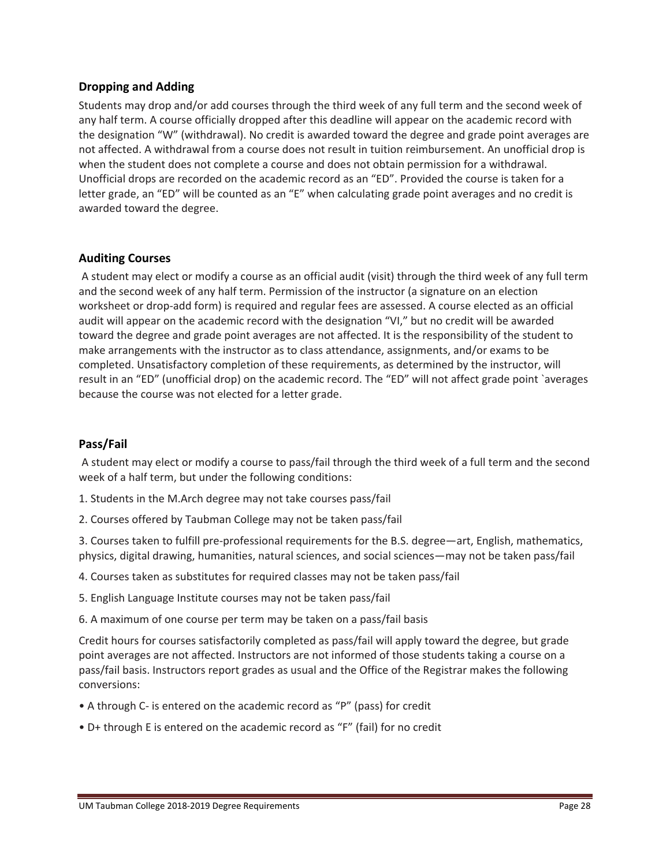### **Dropping and Adding**

Students may drop and/or add courses through the third week of any full term and the second week of any half term. A course officially dropped after this deadline will appear on the academic record with the designation "W" (withdrawal). No credit is awarded toward the degree and grade point averages are not affected. A withdrawal from a course does not result in tuition reimbursement. An unofficial drop is when the student does not complete a course and does not obtain permission for a withdrawal. Unofficial drops are recorded on the academic record as an "ED". Provided the course is taken for a letter grade, an "ED" will be counted as an "E" when calculating grade point averages and no credit is awarded toward the degree.

### **Auditing Courses**

A student may elect or modify a course as an official audit (visit) through the third week of any full term and the second week of any half term. Permission of the instructor (a signature on an election worksheet or drop-add form) is required and regular fees are assessed. A course elected as an official audit will appear on the academic record with the designation "VI," but no credit will be awarded toward the degree and grade point averages are not affected. It is the responsibility of the student to make arrangements with the instructor as to class attendance, assignments, and/or exams to be completed. Unsatisfactory completion of these requirements, as determined by the instructor, will result in an "ED" (unofficial drop) on the academic record. The "ED" will not affect grade point `averages because the course was not elected for a letter grade.

#### **Pass/Fail**

A student may elect or modify a course to pass/fail through the third week of a full term and the second week of a half term, but under the following conditions:

- 1. Students in the M.Arch degree may not take courses pass/fail
- 2. Courses offered by Taubman College may not be taken pass/fail

3. Courses taken to fulfill pre‐professional requirements for the B.S. degree—art, English, mathematics, physics, digital drawing, humanities, natural sciences, and social sciences—may not be taken pass/fail

- 4. Courses taken as substitutes for required classes may not be taken pass/fail
- 5. English Language Institute courses may not be taken pass/fail
- 6. A maximum of one course per term may be taken on a pass/fail basis

Credit hours for courses satisfactorily completed as pass/fail will apply toward the degree, but grade point averages are not affected. Instructors are not informed of those students taking a course on a pass/fail basis. Instructors report grades as usual and the Office of the Registrar makes the following conversions:

- A through C‐ is entered on the academic record as "P" (pass) for credit
- D+ through E is entered on the academic record as "F" (fail) for no credit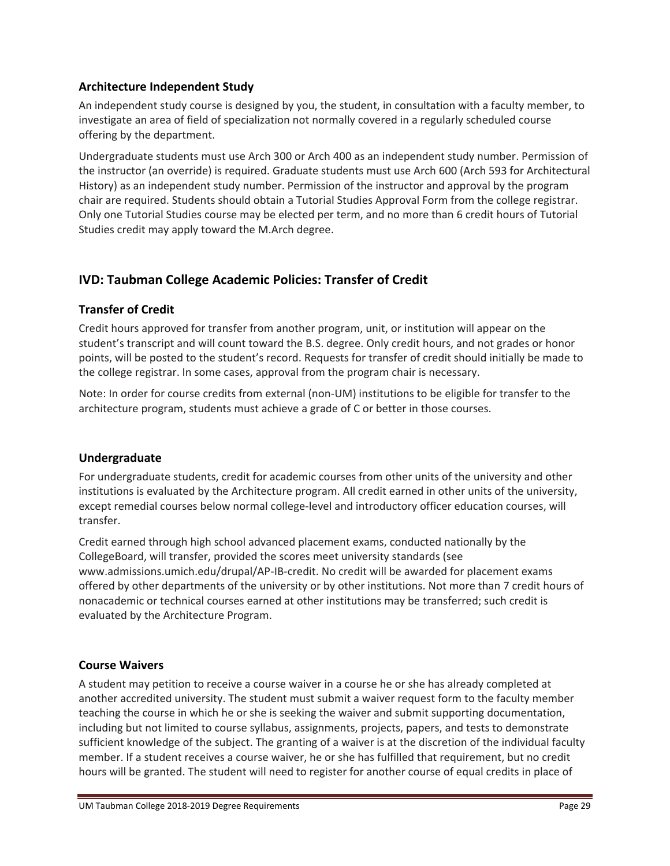# **Architecture Independent Study**

An independent study course is designed by you, the student, in consultation with a faculty member, to investigate an area of field of specialization not normally covered in a regularly scheduled course offering by the department.

Undergraduate students must use Arch 300 or Arch 400 as an independent study number. Permission of the instructor (an override) is required. Graduate students must use Arch 600 (Arch 593 for Architectural History) as an independent study number. Permission of the instructor and approval by the program chair are required. Students should obtain a Tutorial Studies Approval Form from the college registrar. Only one Tutorial Studies course may be elected per term, and no more than 6 credit hours of Tutorial Studies credit may apply toward the M.Arch degree.

# **IVD: Taubman College Academic Policies: Transfer of Credit**

# **Transfer of Credit**

Credit hours approved for transfer from another program, unit, or institution will appear on the student's transcript and will count toward the B.S. degree. Only credit hours, and not grades or honor points, will be posted to the student's record. Requests for transfer of credit should initially be made to the college registrar. In some cases, approval from the program chair is necessary.

Note: In order for course credits from external (non‐UM) institutions to be eligible for transfer to the architecture program, students must achieve a grade of C or better in those courses.

# **Undergraduate**

For undergraduate students, credit for academic courses from other units of the university and other institutions is evaluated by the Architecture program. All credit earned in other units of the university, except remedial courses below normal college-level and introductory officer education courses, will transfer.

Credit earned through high school advanced placement exams, conducted nationally by the CollegeBoard, will transfer, provided the scores meet university standards (see www.admissions.umich.edu/drupal/AP‐IB‐credit. No credit will be awarded for placement exams offered by other departments of the university or by other institutions. Not more than 7 credit hours of nonacademic or technical courses earned at other institutions may be transferred; such credit is evaluated by the Architecture Program.

# **Course Waivers**

A student may petition to receive a course waiver in a course he or she has already completed at another accredited university. The student must submit a waiver request form to the faculty member teaching the course in which he or she is seeking the waiver and submit supporting documentation, including but not limited to course syllabus, assignments, projects, papers, and tests to demonstrate sufficient knowledge of the subject. The granting of a waiver is at the discretion of the individual faculty member. If a student receives a course waiver, he or she has fulfilled that requirement, but no credit hours will be granted. The student will need to register for another course of equal credits in place of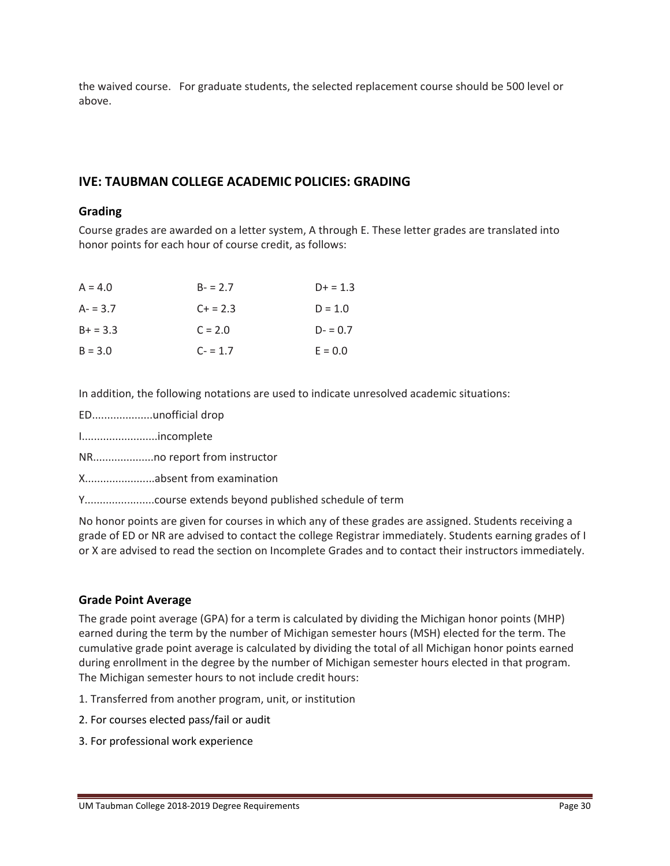the waived course. For graduate students, the selected replacement course should be 500 level or above.

# **IVE: TAUBMAN COLLEGE ACADEMIC POLICIES: GRADING**

#### **Grading**

Course grades are awarded on a letter system, A through E. These letter grades are translated into honor points for each hour of course credit, as follows:

| $A = 4.0$  | $B - 2.7$ | $D+ = 1.3$ |
|------------|-----------|------------|
| $A - 3.7$  | $C + 2.3$ | $D = 1.0$  |
| $B+ = 3.3$ | $C = 2.0$ | $D - 0.7$  |
| $B = 3.0$  | $C - 1.7$ | $E = 0.0$  |

In addition, the following notations are used to indicate unresolved academic situations:

- ED....................unofficial drop
- I.........................incomplete
- NR....................no report from instructor

X.......................absent from examination

Y.......................course extends beyond published schedule of term

No honor points are given for courses in which any of these grades are assigned. Students receiving a grade of ED or NR are advised to contact the college Registrar immediately. Students earning grades of I or X are advised to read the section on Incomplete Grades and to contact their instructors immediately.

#### **Grade Point Average**

The grade point average (GPA) for a term is calculated by dividing the Michigan honor points (MHP) earned during the term by the number of Michigan semester hours (MSH) elected for the term. The cumulative grade point average is calculated by dividing the total of all Michigan honor points earned during enrollment in the degree by the number of Michigan semester hours elected in that program. The Michigan semester hours to not include credit hours:

- 1. Transferred from another program, unit, or institution
- 2. For courses elected pass/fail or audit
- 3. For professional work experience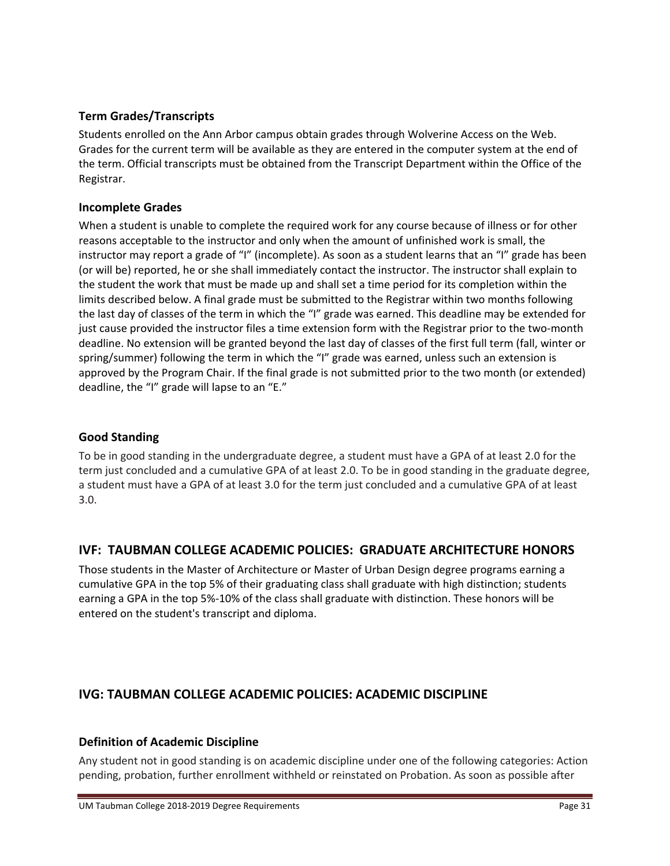# **Term Grades/Transcripts**

Students enrolled on the Ann Arbor campus obtain grades through Wolverine Access on the Web. Grades for the current term will be available as they are entered in the computer system at the end of the term. Official transcripts must be obtained from the Transcript Department within the Office of the Registrar.

# **Incomplete Grades**

When a student is unable to complete the required work for any course because of illness or for other reasons acceptable to the instructor and only when the amount of unfinished work is small, the instructor may report a grade of "I" (incomplete). As soon as a student learns that an "I" grade has been (or will be) reported, he or she shall immediately contact the instructor. The instructor shall explain to the student the work that must be made up and shall set a time period for its completion within the limits described below. A final grade must be submitted to the Registrar within two months following the last day of classes of the term in which the "I" grade was earned. This deadline may be extended for just cause provided the instructor files a time extension form with the Registrar prior to the two-month deadline. No extension will be granted beyond the last day of classes of the first full term (fall, winter or spring/summer) following the term in which the "I" grade was earned, unless such an extension is approved by the Program Chair. If the final grade is not submitted prior to the two month (or extended) deadline, the "I" grade will lapse to an "E."

# **Good Standing**

To be in good standing in the undergraduate degree, a student must have a GPA of at least 2.0 for the term just concluded and a cumulative GPA of at least 2.0. To be in good standing in the graduate degree, a student must have a GPA of at least 3.0 for the term just concluded and a cumulative GPA of at least 3.0.

# **IVF: TAUBMAN COLLEGE ACADEMIC POLICIES: GRADUATE ARCHITECTURE HONORS**

Those students in the Master of Architecture or Master of Urban Design degree programs earning a cumulative GPA in the top 5% of their graduating class shall graduate with high distinction; students earning a GPA in the top 5%‐10% of the class shall graduate with distinction. These honors will be entered on the student's transcript and diploma.

# **IVG: TAUBMAN COLLEGE ACADEMIC POLICIES: ACADEMIC DISCIPLINE**

# **Definition of Academic Discipline**

Any student not in good standing is on academic discipline under one of the following categories: Action pending, probation, further enrollment withheld or reinstated on Probation. As soon as possible after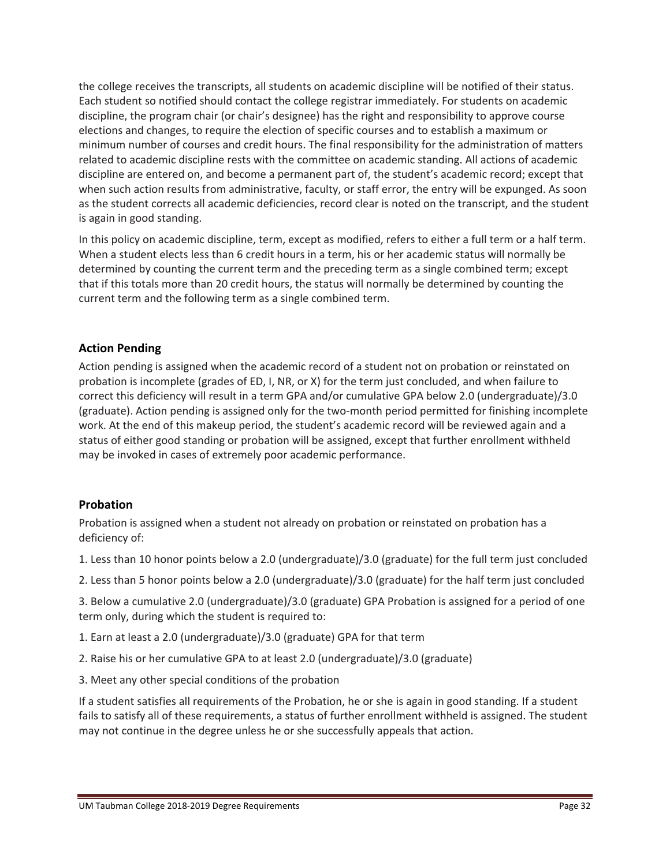the college receives the transcripts, all students on academic discipline will be notified of their status. Each student so notified should contact the college registrar immediately. For students on academic discipline, the program chair (or chair's designee) has the right and responsibility to approve course elections and changes, to require the election of specific courses and to establish a maximum or minimum number of courses and credit hours. The final responsibility for the administration of matters related to academic discipline rests with the committee on academic standing. All actions of academic discipline are entered on, and become a permanent part of, the student's academic record; except that when such action results from administrative, faculty, or staff error, the entry will be expunged. As soon as the student corrects all academic deficiencies, record clear is noted on the transcript, and the student is again in good standing.

In this policy on academic discipline, term, except as modified, refers to either a full term or a half term. When a student elects less than 6 credit hours in a term, his or her academic status will normally be determined by counting the current term and the preceding term as a single combined term; except that if this totals more than 20 credit hours, the status will normally be determined by counting the current term and the following term as a single combined term.

# **Action Pending**

Action pending is assigned when the academic record of a student not on probation or reinstated on probation is incomplete (grades of ED, I, NR, or X) for the term just concluded, and when failure to correct this deficiency will result in a term GPA and/or cumulative GPA below 2.0 (undergraduate)/3.0 (graduate). Action pending is assigned only for the two‐month period permitted for finishing incomplete work. At the end of this makeup period, the student's academic record will be reviewed again and a status of either good standing or probation will be assigned, except that further enrollment withheld may be invoked in cases of extremely poor academic performance.

#### **Probation**

Probation is assigned when a student not already on probation or reinstated on probation has a deficiency of:

- 1. Less than 10 honor points below a 2.0 (undergraduate)/3.0 (graduate) for the full term just concluded
- 2. Less than 5 honor points below a 2.0 (undergraduate)/3.0 (graduate) for the half term just concluded

3. Below a cumulative 2.0 (undergraduate)/3.0 (graduate) GPA Probation is assigned for a period of one term only, during which the student is required to:

- 1. Earn at least a 2.0 (undergraduate)/3.0 (graduate) GPA for that term
- 2. Raise his or her cumulative GPA to at least 2.0 (undergraduate)/3.0 (graduate)
- 3. Meet any other special conditions of the probation

If a student satisfies all requirements of the Probation, he or she is again in good standing. If a student fails to satisfy all of these requirements, a status of further enrollment withheld is assigned. The student may not continue in the degree unless he or she successfully appeals that action.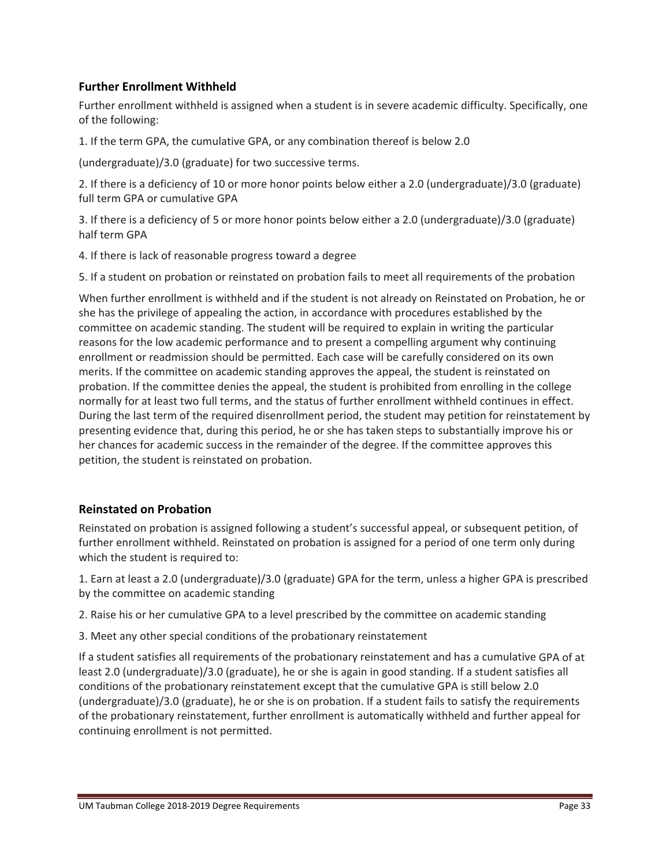## **Further Enrollment Withheld**

Further enrollment withheld is assigned when a student is in severe academic difficulty. Specifically, one of the following:

1. If the term GPA, the cumulative GPA, or any combination thereof is below 2.0

(undergraduate)/3.0 (graduate) for two successive terms.

2. If there is a deficiency of 10 or more honor points below either a 2.0 (undergraduate)/3.0 (graduate) full term GPA or cumulative GPA

3. If there is a deficiency of 5 or more honor points below either a 2.0 (undergraduate)/3.0 (graduate) half term GPA

4. If there is lack of reasonable progress toward a degree

5. If a student on probation or reinstated on probation fails to meet all requirements of the probation

When further enrollment is withheld and if the student is not already on Reinstated on Probation, he or she has the privilege of appealing the action, in accordance with procedures established by the committee on academic standing. The student will be required to explain in writing the particular reasons for the low academic performance and to present a compelling argument why continuing enrollment or readmission should be permitted. Each case will be carefully considered on its own merits. If the committee on academic standing approves the appeal, the student is reinstated on probation. If the committee denies the appeal, the student is prohibited from enrolling in the college normally for at least two full terms, and the status of further enrollment withheld continues in effect. During the last term of the required disenrollment period, the student may petition for reinstatement by presenting evidence that, during this period, he or she has taken steps to substantially improve his or her chances for academic success in the remainder of the degree. If the committee approves this petition, the student is reinstated on probation.

#### **Reinstated on Probation**

Reinstated on probation is assigned following a student's successful appeal, or subsequent petition, of further enrollment withheld. Reinstated on probation is assigned for a period of one term only during which the student is required to:

1. Earn at least a 2.0 (undergraduate)/3.0 (graduate) GPA for the term, unless a higher GPA is prescribed by the committee on academic standing

2. Raise his or her cumulative GPA to a level prescribed by the committee on academic standing

3. Meet any other special conditions of the probationary reinstatement

If a student satisfies all requirements of the probationary reinstatement and has a cumulative GPA of at least 2.0 (undergraduate)/3.0 (graduate), he or she is again in good standing. If a student satisfies all conditions of the probationary reinstatement except that the cumulative GPA is still below 2.0 (undergraduate)/3.0 (graduate), he or she is on probation. If a student fails to satisfy the requirements of the probationary reinstatement, further enrollment is automatically withheld and further appeal for continuing enrollment is not permitted.